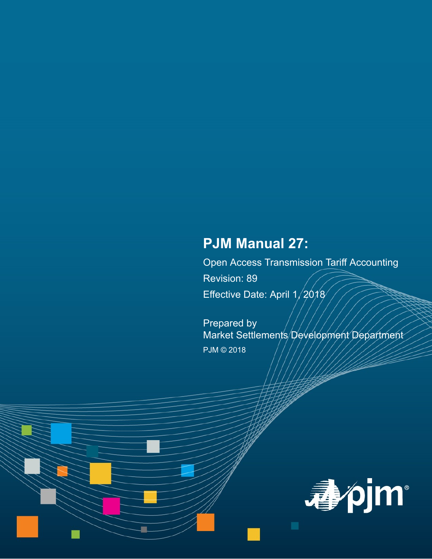# **PJM Manual 27:**

Open Access Transmission Tariff Accounting Revision: 89 Effective Date: April 1/2018

Prepared by Market Settlements Development Department PJM © 2018

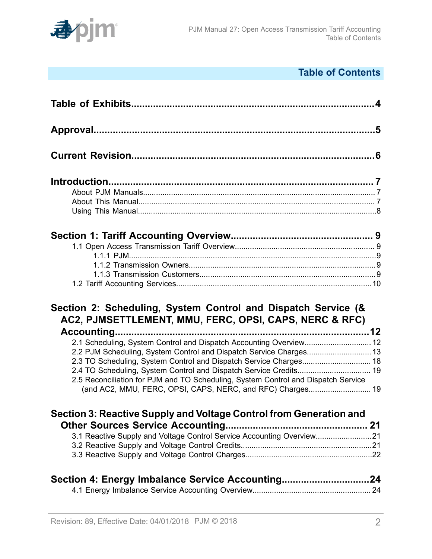

# **Table of Contents**

| Section 2: Scheduling, System Control and Dispatch Service (&<br>AC2, PJMSETTLEMENT, MMU, FERC, OPSI, CAPS, NERC & RFC)                         |  |
|-------------------------------------------------------------------------------------------------------------------------------------------------|--|
| 2.1 Scheduling, System Control and Dispatch Accounting Overview 12                                                                              |  |
|                                                                                                                                                 |  |
|                                                                                                                                                 |  |
|                                                                                                                                                 |  |
| 2.5 Reconciliation for PJM and TO Scheduling, System Control and Dispatch Service<br>(and AC2, MMU, FERC, OPSI, CAPS, NERC, and RFC) Charges 19 |  |
| Section 3: Reactive Supply and Voltage Control from Generation and                                                                              |  |
|                                                                                                                                                 |  |
|                                                                                                                                                 |  |
| 3.1 Reactive Supply and Voltage Control Service Accounting Overview21                                                                           |  |
|                                                                                                                                                 |  |
| Section 4: Energy Imbalance Service Accounting24                                                                                                |  |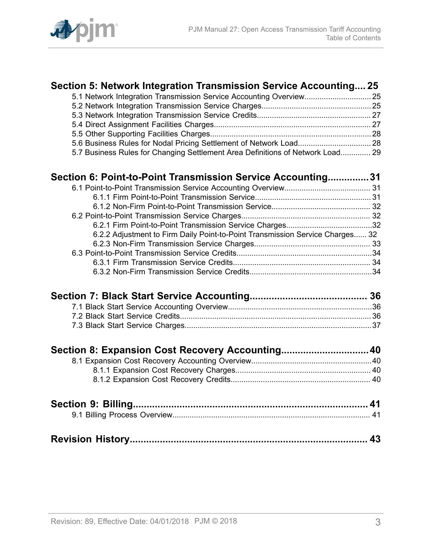

| Section 5: Network Integration Transmission Service Accounting 25              |  |
|--------------------------------------------------------------------------------|--|
| 5.1 Network Integration Transmission Service Accounting Overview 25            |  |
|                                                                                |  |
|                                                                                |  |
|                                                                                |  |
|                                                                                |  |
|                                                                                |  |
| 5.7 Business Rules for Changing Settlement Area Definitions of Network Load 29 |  |
| Section 6: Point-to-Point Transmission Service Accounting31                    |  |
|                                                                                |  |
|                                                                                |  |
|                                                                                |  |
|                                                                                |  |
|                                                                                |  |
| 6.2.2 Adjustment to Firm Daily Point-to-Point Transmission Service Charges 32  |  |
|                                                                                |  |
|                                                                                |  |
|                                                                                |  |
|                                                                                |  |
|                                                                                |  |
|                                                                                |  |
|                                                                                |  |
|                                                                                |  |
| Section 8: Expansion Cost Recovery Accounting 40                               |  |
|                                                                                |  |
|                                                                                |  |
|                                                                                |  |
|                                                                                |  |
|                                                                                |  |
|                                                                                |  |
|                                                                                |  |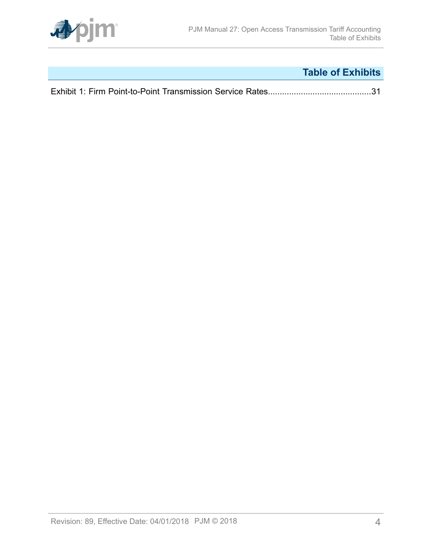

# **Table of Exhibits**

<span id="page-3-0"></span>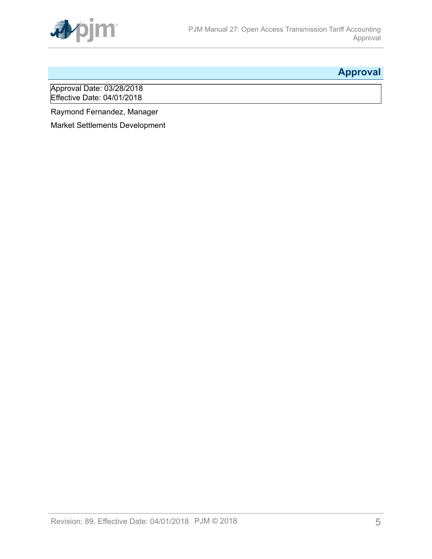

# <span id="page-4-0"></span>**Approval**

Approval Date: 03/28/2018 Effective Date: 04/01/2018

Raymond Fernandez, Manager

Market Settlements Development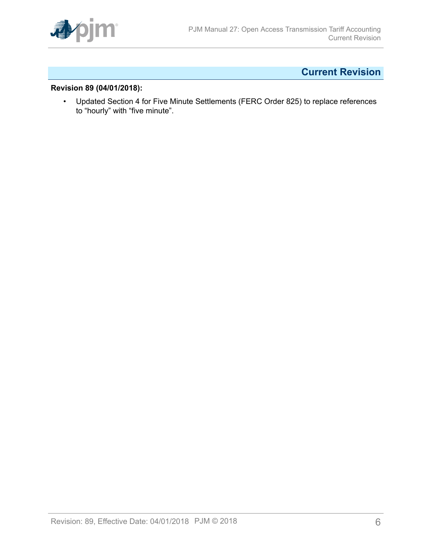

# <span id="page-5-0"></span>**Current Revision**

## **Revision 89 (04/01/2018):**

• Updated Section 4 for Five Minute Settlements (FERC Order 825) to replace references to "hourly" with "five minute".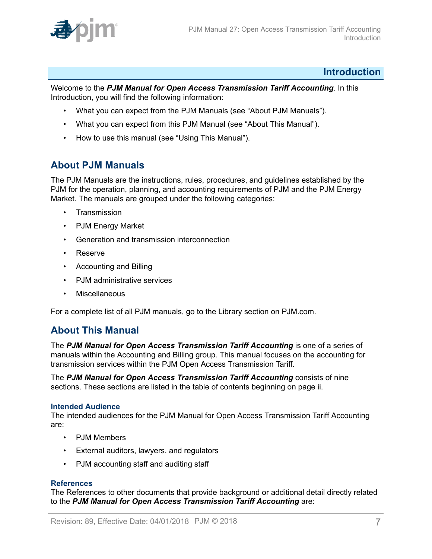

## <span id="page-6-0"></span>**Introduction**

Welcome to the *PJM Manual for Open Access Transmission Tariff Accounting*. In this Introduction, you will find the following information:

- What you can expect from the PJM Manuals (see "About PJM Manuals").
- What you can expect from this PJM Manual (see "About This Manual").
- How to use this manual (see "Using This Manual").

# <span id="page-6-1"></span>**About PJM Manuals**

The PJM Manuals are the instructions, rules, procedures, and guidelines established by the PJM for the operation, planning, and accounting requirements of PJM and the PJM Energy Market. The manuals are grouped under the following categories:

- **Transmission**
- PJM Energy Market
- Generation and transmission interconnection
- Reserve
- Accounting and Billing
- PJM administrative services
- Miscellaneous

For a complete list of all PJM manuals, go to the Library section on PJM.com.

## <span id="page-6-2"></span>**About This Manual**

The *PJM Manual for Open Access Transmission Tariff Accounting* is one of a series of manuals within the Accounting and Billing group. This manual focuses on the accounting for transmission services within the PJM Open Access Transmission Tariff.

The *PJM Manual for Open Access Transmission Tariff Accounting* consists of nine sections. These sections are listed in the table of contents beginning on page ii.

#### **Intended Audience**

The intended audiences for the PJM Manual for Open Access Transmission Tariff Accounting are:

- PJM Members
- External auditors, lawyers, and regulators
- PJM accounting staff and auditing staff

#### **References**

The References to other documents that provide background or additional detail directly related to the *PJM Manual for Open Access Transmission Tariff Accounting* are: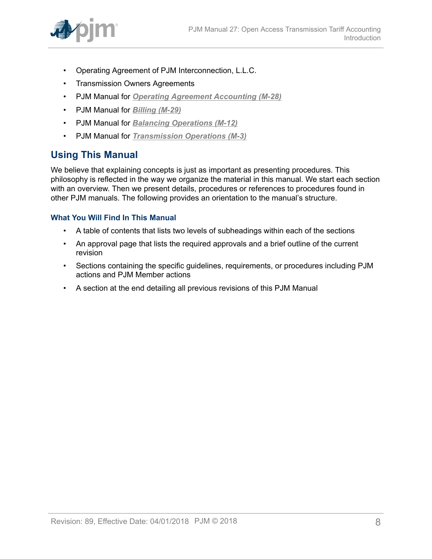

- Operating Agreement of PJM Interconnection, L.L.C.
- Transmission Owners Agreements
- PJM Manual for *[Operating Agreement Accounting \(M-28\)](http://www.pjm.com/~/media/documents/manuals/m28.ashx)*
- PJM Manual for *[Billing \(M-29\)](http://www.pjm.com/~/media/documents/manuals/m29.ashx)*
- PJM Manual for *[Balancing Operations \(M-12\)](http://www.pjm.com/~/media/documents/manuals/m12.ashx)*
- PJM Manual for *[Transmission](http://www.pjm.com/~/media/documents/manuals/m03.ashx) Operations (M-3)*

# <span id="page-7-0"></span>**Using This Manual**

We believe that explaining concepts is just as important as presenting procedures. This philosophy is reflected in the way we organize the material in this manual. We start each section with an overview. Then we present details, procedures or references to procedures found in other PJM manuals. The following provides an orientation to the manual's structure.

## **What You Will Find In This Manual**

- A table of contents that lists two levels of subheadings within each of the sections
- An approval page that lists the required approvals and a brief outline of the current revision
- Sections containing the specific guidelines, requirements, or procedures including PJM actions and PJM Member actions
- A section at the end detailing all previous revisions of this PJM Manual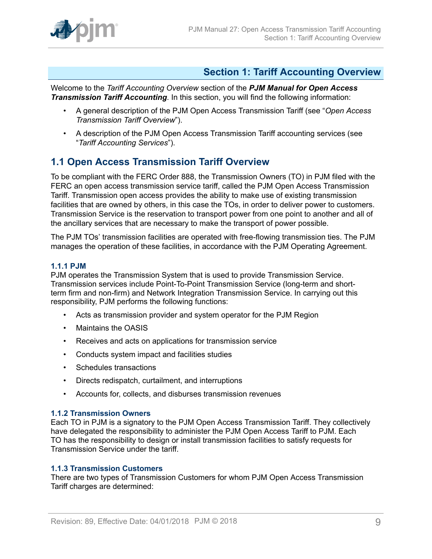

# <span id="page-8-0"></span>**Section 1: Tariff Accounting Overview**

Welcome to the *Tariff Accounting Overview* section of the *PJM Manual for Open Access Transmission Tariff Accounting*. In this section, you will find the following information:

- A general description of the PJM Open Access Transmission Tariff (see "*Open Access Transmission Tariff Overview*").
- A description of the PJM Open Access Transmission Tariff accounting services (see "*Tariff Accounting Services*").

# <span id="page-8-1"></span>**1.1 Open Access Transmission Tariff Overview**

To be compliant with the FERC Order 888, the Transmission Owners (TO) in PJM filed with the FERC an open access transmission service tariff, called the PJM Open Access Transmission Tariff. Transmission open access provides the ability to make use of existing transmission facilities that are owned by others, in this case the TOs, in order to deliver power to customers. Transmission Service is the reservation to transport power from one point to another and all of the ancillary services that are necessary to make the transport of power possible.

The PJM TOs' transmission facilities are operated with free-flowing transmission ties. The PJM manages the operation of these facilities, in accordance with the PJM Operating Agreement.

### <span id="page-8-2"></span>**1.1.1 PJM**

PJM operates the Transmission System that is used to provide Transmission Service. Transmission services include Point-To-Point Transmission Service (long-term and shortterm firm and non-firm) and Network Integration Transmission Service. In carrying out this responsibility, PJM performs the following functions:

- Acts as transmission provider and system operator for the PJM Region
- Maintains the OASIS
- Receives and acts on applications for transmission service
- Conducts system impact and facilities studies
- Schedules transactions
- Directs redispatch, curtailment, and interruptions
- Accounts for, collects, and disburses transmission revenues

#### <span id="page-8-3"></span>**1.1.2 Transmission Owners**

Each TO in PJM is a signatory to the PJM Open Access Transmission Tariff. They collectively have delegated the responsibility to administer the PJM Open Access Tariff to PJM. Each TO has the responsibility to design or install transmission facilities to satisfy requests for Transmission Service under the tariff.

## <span id="page-8-4"></span>**1.1.3 Transmission Customers**

There are two types of Transmission Customers for whom PJM Open Access Transmission Tariff charges are determined: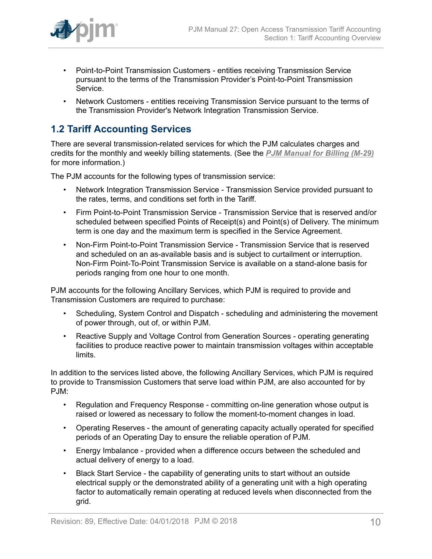

- Point-to-Point Transmission Customers entities receiving Transmission Service pursuant to the terms of the Transmission Provider's Point-to-Point Transmission Service.
- Network Customers entities receiving Transmission Service pursuant to the terms of the Transmission Provider's Network Integration Transmission Service.

# <span id="page-9-0"></span>**1.2 Tariff Accounting Services**

There are several transmission-related services for which the PJM calculates charges and credits for the monthly and weekly billing statements. (See the *[PJM Manual for Billing \(M-29\)](http://www.pjm.com/~/media/documents/manuals/m29.ashx)* for more information.)

The PJM accounts for the following types of transmission service:

- Network Integration Transmission Service Transmission Service provided pursuant to the rates, terms, and conditions set forth in the Tariff.
- Firm Point-to-Point Transmission Service Transmission Service that is reserved and/or scheduled between specified Points of Receipt(s) and Point(s) of Delivery. The minimum term is one day and the maximum term is specified in the Service Agreement.
- Non-Firm Point-to-Point Transmission Service Transmission Service that is reserved and scheduled on an as-available basis and is subject to curtailment or interruption. Non-Firm Point-To-Point Transmission Service is available on a stand-alone basis for periods ranging from one hour to one month.

PJM accounts for the following Ancillary Services, which PJM is required to provide and Transmission Customers are required to purchase:

- Scheduling, System Control and Dispatch scheduling and administering the movement of power through, out of, or within PJM.
- Reactive Supply and Voltage Control from Generation Sources operating generating facilities to produce reactive power to maintain transmission voltages within acceptable limits.

In addition to the services listed above, the following Ancillary Services, which PJM is required to provide to Transmission Customers that serve load within PJM, are also accounted for by PJM:

- Regulation and Frequency Response committing on-line generation whose output is raised or lowered as necessary to follow the moment-to-moment changes in load.
- Operating Reserves the amount of generating capacity actually operated for specified periods of an Operating Day to ensure the reliable operation of PJM.
- Energy Imbalance provided when a difference occurs between the scheduled and actual delivery of energy to a load.
- Black Start Service the capability of generating units to start without an outside electrical supply or the demonstrated ability of a generating unit with a high operating factor to automatically remain operating at reduced levels when disconnected from the grid.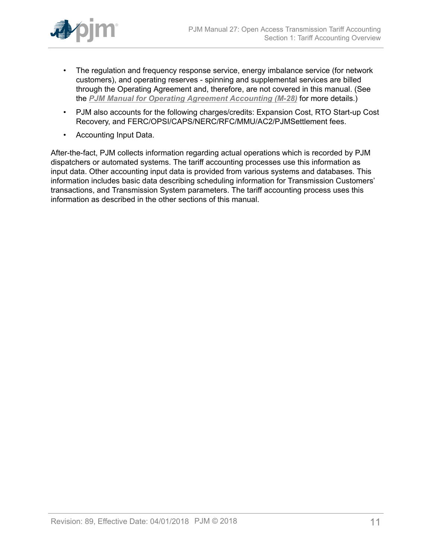

- The regulation and frequency response service, energy imbalance service (for network customers), and operating reserves - spinning and supplemental services are billed through the Operating Agreement and, therefore, are not covered in this manual. (See the *[PJM Manual for Operating Agreement Accounting \(M-28\)](http://www.pjm.com/~/media/documents/manuals/m28.ashx)* for more details.)
- PJM also accounts for the following charges/credits: Expansion Cost, RTO Start-up Cost Recovery, and FERC/OPSI/CAPS/NERC/RFC/MMU/AC2/PJMSettlement fees.
- Accounting Input Data.

After-the-fact, PJM collects information regarding actual operations which is recorded by PJM dispatchers or automated systems. The tariff accounting processes use this information as input data. Other accounting input data is provided from various systems and databases. This information includes basic data describing scheduling information for Transmission Customers' transactions, and Transmission System parameters. The tariff accounting process uses this information as described in the other sections of this manual.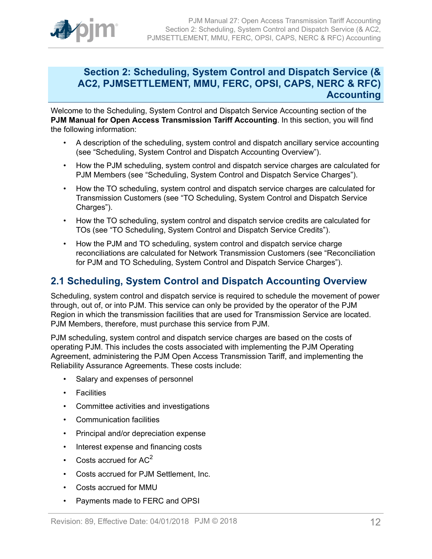

# <span id="page-11-0"></span>**Section 2: Scheduling, System Control and Dispatch Service (& AC2, PJMSETTLEMENT, MMU, FERC, OPSI, CAPS, NERC & RFC) Accounting**

Welcome to the Scheduling, System Control and Dispatch Service Accounting section of the **PJM Manual for Open Access Transmission Tariff Accounting**. In this section, you will find the following information:

- A description of the scheduling, system control and dispatch ancillary service accounting (see "Scheduling, System Control and Dispatch Accounting Overview").
- How the PJM scheduling, system control and dispatch service charges are calculated for PJM Members (see "Scheduling, System Control and Dispatch Service Charges").
- How the TO scheduling, system control and dispatch service charges are calculated for Transmission Customers (see "TO Scheduling, System Control and Dispatch Service Charges").
- How the TO scheduling, system control and dispatch service credits are calculated for TOs (see "TO Scheduling, System Control and Dispatch Service Credits").
- How the PJM and TO scheduling, system control and dispatch service charge reconciliations are calculated for Network Transmission Customers (see "Reconciliation for PJM and TO Scheduling, System Control and Dispatch Service Charges").

# <span id="page-11-1"></span>**2.1 Scheduling, System Control and Dispatch Accounting Overview**

Scheduling, system control and dispatch service is required to schedule the movement of power through, out of, or into PJM. This service can only be provided by the operator of the PJM Region in which the transmission facilities that are used for Transmission Service are located. PJM Members, therefore, must purchase this service from PJM.

PJM scheduling, system control and dispatch service charges are based on the costs of operating PJM. This includes the costs associated with implementing the PJM Operating Agreement, administering the PJM Open Access Transmission Tariff, and implementing the Reliability Assurance Agreements. These costs include:

- Salary and expenses of personnel
- Facilities
- Committee activities and investigations
- Communication facilities
- Principal and/or depreciation expense
- Interest expense and financing costs
- Costs accrued for  $AC<sup>2</sup>$
- Costs accrued for PJM Settlement, Inc.
- Costs accrued for MMU
- Payments made to FERC and OPSI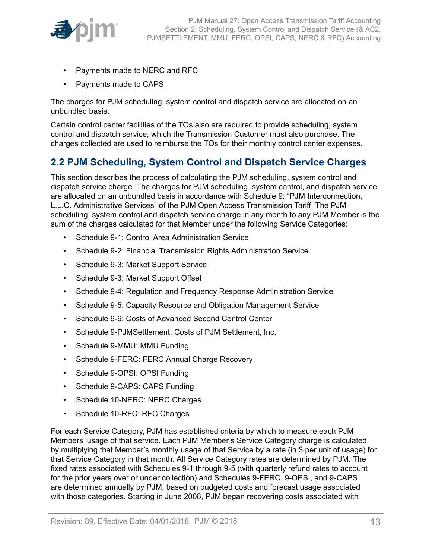

- Payments made to NERC and RFC
- Payments made to CAPS

The charges for PJM scheduling, system control and dispatch service are allocated on an unbundled basis.

Certain control center facilities of the TOs also are required to provide scheduling, system control and dispatch service, which the Transmission Customer must also purchase. The charges collected are used to reimburse the TOs for their monthly control center expenses.

# <span id="page-12-0"></span>**2.2 PJM Scheduling, System Control and Dispatch Service Charges**

This section describes the process of calculating the PJM scheduling, system control and dispatch service charge. The charges for PJM scheduling, system control, and dispatch service are allocated on an unbundled basis in accordance with Schedule 9: "PJM Interconnection, L.L.C. Administrative Services" of the PJM Open Access Transmission Tariff. The PJM scheduling, system control and dispatch service charge in any month to any PJM Member is the sum of the charges calculated for that Member under the following Service Categories:

- Schedule 9-1: Control Area Administration Service
- Schedule 9-2: Financial Transmission Rights Administration Service
- Schedule 9-3: Market Support Service
- Schedule 9-3: Market Support Offset
- Schedule 9-4: Regulation and Frequency Response Administration Service
- Schedule 9-5: Capacity Resource and Obligation Management Service
- Schedule 9-6: Costs of Advanced Second Control Center
- Schedule 9-PJMSettlement: Costs of PJM Settlement, Inc.
- Schedule 9-MMU: MMU Funding
- Schedule 9-FERC: FERC Annual Charge Recovery
- Schedule 9-OPSI: OPSI Funding
- Schedule 9-CAPS: CAPS Funding
- Schedule 10-NERC: NERC Charges
- Schedule 10-RFC: RFC Charges

For each Service Category, PJM has established criteria by which to measure each PJM Members' usage of that service. Each PJM Member's Service Category charge is calculated by multiplying that Member's monthly usage of that Service by a rate (in \$ per unit of usage) for that Service Category in that month. All Service Category rates are determined by PJM. The fixed rates associated with Schedules 9-1 through 9-5 (with quarterly refund rates to account for the prior years over or under collection) and Schedules 9-FERC, 9-OPSI, and 9-CAPS are determined annually by PJM, based on budgeted costs and forecast usage associated with those categories. Starting in June 2008, PJM began recovering costs associated with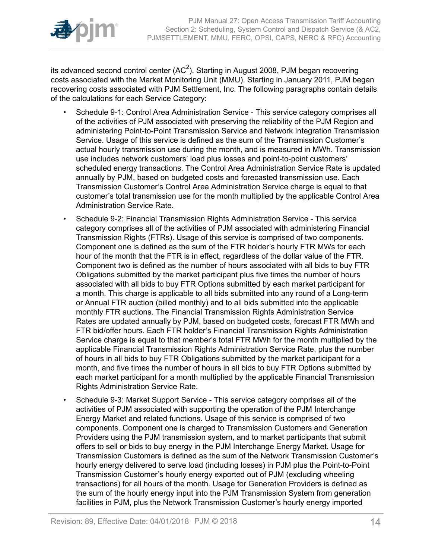

its advanced second control center (AC<sup>2</sup>). Starting in August 2008, PJM began recovering costs associated with the Market Monitoring Unit (MMU). Starting in January 2011, PJM began recovering costs associated with PJM Settlement, Inc. The following paragraphs contain details of the calculations for each Service Category:

- Schedule 9-1: Control Area Administration Service This service category comprises all of the activities of PJM associated with preserving the reliability of the PJM Region and administering Point-to-Point Transmission Service and Network Integration Transmission Service. Usage of this service is defined as the sum of the Transmission Customer's actual hourly transmission use during the month, and is measured in MWh. Transmission use includes network customers' load plus losses and point-to-point customers' scheduled energy transactions. The Control Area Administration Service Rate is updated annually by PJM, based on budgeted costs and forecasted transmission use. Each Transmission Customer's Control Area Administration Service charge is equal to that customer's total transmission use for the month multiplied by the applicable Control Area Administration Service Rate.
- Schedule 9-2: Financial Transmission Rights Administration Service This service category comprises all of the activities of PJM associated with administering Financial Transmission Rights (FTRs). Usage of this service is comprised of two components. Component one is defined as the sum of the FTR holder's hourly FTR MWs for each hour of the month that the FTR is in effect, regardless of the dollar value of the FTR. Component two is defined as the number of hours associated with all bids to buy FTR Obligations submitted by the market participant plus five times the number of hours associated with all bids to buy FTR Options submitted by each market participant for a month. This charge is applicable to all bids submitted into any round of a Long-term or Annual FTR auction (billed monthly) and to all bids submitted into the applicable monthly FTR auctions. The Financial Transmission Rights Administration Service Rates are updated annually by PJM, based on budgeted costs, forecast FTR MWh and FTR bid/offer hours. Each FTR holder's Financial Transmission Rights Administration Service charge is equal to that member's total FTR MWh for the month multiplied by the applicable Financial Transmission Rights Administration Service Rate, plus the number of hours in all bids to buy FTR Obligations submitted by the market participant for a month, and five times the number of hours in all bids to buy FTR Options submitted by each market participant for a month multiplied by the applicable Financial Transmission Rights Administration Service Rate.
- Schedule 9-3: Market Support Service This service category comprises all of the activities of PJM associated with supporting the operation of the PJM Interchange Energy Market and related functions. Usage of this service is comprised of two components. Component one is charged to Transmission Customers and Generation Providers using the PJM transmission system, and to market participants that submit offers to sell or bids to buy energy in the PJM Interchange Energy Market. Usage for Transmission Customers is defined as the sum of the Network Transmission Customer's hourly energy delivered to serve load (including losses) in PJM plus the Point-to-Point Transmission Customer's hourly energy exported out of PJM (excluding wheeling transactions) for all hours of the month. Usage for Generation Providers is defined as the sum of the hourly energy input into the PJM Transmission System from generation facilities in PJM, plus the Network Transmission Customer's hourly energy imported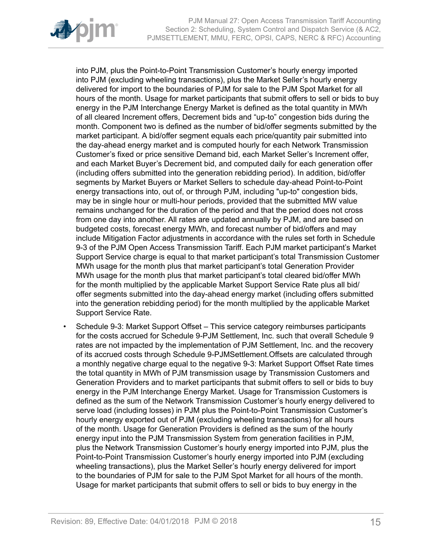

into PJM, plus the Point-to-Point Transmission Customer's hourly energy imported into PJM (excluding wheeling transactions), plus the Market Seller's hourly energy delivered for import to the boundaries of PJM for sale to the PJM Spot Market for all hours of the month. Usage for market participants that submit offers to sell or bids to buy energy in the PJM Interchange Energy Market is defined as the total quantity in MWh of all cleared Increment offers, Decrement bids and "up-to" congestion bids during the month. Component two is defined as the number of bid/offer segments submitted by the market participant. A bid/offer segment equals each price/quantity pair submitted into the day-ahead energy market and is computed hourly for each Network Transmission Customer's fixed or price sensitive Demand bid, each Market Seller's Increment offer, and each Market Buyer's Decrement bid, and computed daily for each generation offer (including offers submitted into the generation rebidding period). In addition, bid/offer segments by Market Buyers or Market Sellers to schedule day-ahead Point-to-Point energy transactions into, out of, or through PJM, including "up-to" congestion bids, may be in single hour or multi-hour periods, provided that the submitted MW value remains unchanged for the duration of the period and that the period does not cross from one day into another. All rates are updated annually by PJM, and are based on budgeted costs, forecast energy MWh, and forecast number of bid/offers and may include Mitigation Factor adjustments in accordance with the rules set forth in Schedule 9-3 of the PJM Open Access Transmission Tariff. Each PJM market participant's Market Support Service charge is equal to that market participant's total Transmission Customer MWh usage for the month plus that market participant's total Generation Provider MWh usage for the month plus that market participant's total cleared bid/offer MWh for the month multiplied by the applicable Market Support Service Rate plus all bid/ offer segments submitted into the day-ahead energy market (including offers submitted into the generation rebidding period) for the month multiplied by the applicable Market Support Service Rate.

• Schedule 9-3: Market Support Offset *–* This service category reimburses participants for the costs accrued for Schedule 9-PJM Settlement, Inc. such that overall Schedule 9 rates are not impacted by the implementation of PJM Settlement, Inc. and the recovery of its accrued costs through Schedule 9-PJMSettlement.Offsets are calculated through a monthly negative charge equal to the negative 9-3: Market Support Offset Rate times the total quantity in MWh of PJM transmission usage by Transmission Customers and Generation Providers and to market participants that submit offers to sell or bids to buy energy in the PJM Interchange Energy Market. Usage for Transmission Customers is defined as the sum of the Network Transmission Customer's hourly energy delivered to serve load (including losses) in PJM plus the Point-to-Point Transmission Customer's hourly energy exported out of PJM (excluding wheeling transactions) for all hours of the month. Usage for Generation Providers is defined as the sum of the hourly energy input into the PJM Transmission System from generation facilities in PJM, plus the Network Transmission Customer's hourly energy imported into PJM, plus the Point-to-Point Transmission Customer's hourly energy imported into PJM (excluding wheeling transactions), plus the Market Seller's hourly energy delivered for import to the boundaries of PJM for sale to the PJM Spot Market for all hours of the month. Usage for market participants that submit offers to sell or bids to buy energy in the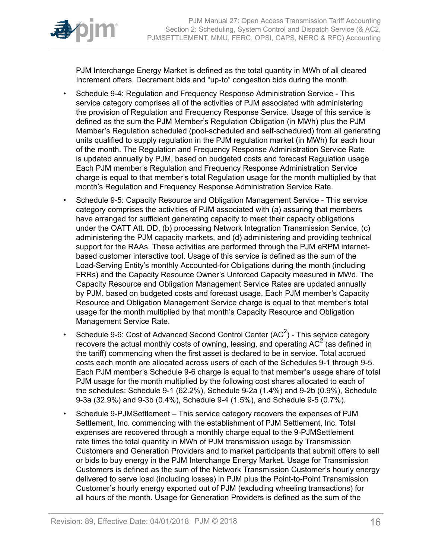

PJM Interchange Energy Market is defined as the total quantity in MWh of all cleared Increment offers, Decrement bids and "up-to" congestion bids during the month.

- Schedule 9-4: Regulation and Frequency Response Administration Service This service category comprises all of the activities of PJM associated with administering the provision of Regulation and Frequency Response Service. Usage of this service is defined as the sum the PJM Member's Regulation Obligation (in MWh) plus the PJM Member's Regulation scheduled (pool-scheduled and self-scheduled) from all generating units qualified to supply regulation in the PJM regulation market (in MWh) for each hour of the month. The Regulation and Frequency Response Administration Service Rate is updated annually by PJM, based on budgeted costs and forecast Regulation usage Each PJM member's Regulation and Frequency Response Administration Service charge is equal to that member's total Regulation usage for the month multiplied by that month's Regulation and Frequency Response Administration Service Rate.
- Schedule 9-5: Capacity Resource and Obligation Management Service This service category comprises the activities of PJM associated with (a) assuring that members have arranged for sufficient generating capacity to meet their capacity obligations under the OATT Att. DD, (b) processing Network Integration Transmission Service, (c) administering the PJM capacity markets, and (d) administering and providing technical support for the RAAs. These activities are performed through the PJM eRPM internetbased customer interactive tool. Usage of this service is defined as the sum of the Load-Serving Entity's monthly Accounted-for Obligations during the month (including FRRs) and the Capacity Resource Owner's Unforced Capacity measured in MWd. The Capacity Resource and Obligation Management Service Rates are updated annually by PJM, based on budgeted costs and forecast usage. Each PJM member's Capacity Resource and Obligation Management Service charge is equal to that member's total usage for the month multiplied by that month's Capacity Resource and Obligation Management Service Rate.
- Schedule 9-6: Cost of Advanced Second Control Center (AC<sup>2</sup>) This service category recovers the actual monthly costs of owning, leasing, and operating AC<sup>2</sup> (as defined in the tariff) commencing when the first asset is declared to be in service. Total accrued costs each month are allocated across users of each of the Schedules 9-1 through 9-5. Each PJM member's Schedule 9-6 charge is equal to that member's usage share of total PJM usage for the month multiplied by the following cost shares allocated to each of the schedules: Schedule 9-1 (62.2%), Schedule 9-2a (1.4%) and 9-2b (0.9%), Schedule 9-3a (32.9%) and 9-3b (0.4%), Schedule 9-4 (1.5%), and Schedule 9-5 (0.7%).
- Schedule 9-PJMSettlementThis service category recovers the expenses of PJM Settlement, Inc. commencing with the establishment of PJM Settlement, Inc. Total expenses are recovered through a monthly charge equal to the 9-PJMSettlement rate times the total quantity in MWh of PJM transmission usage by Transmission Customers and Generation Providers and to market participants that submit offers to sell or bids to buy energy in the PJM Interchange Energy Market. Usage for Transmission Customers is defined as the sum of the Network Transmission Customer's hourly energy delivered to serve load (including losses) in PJM plus the Point-to-Point Transmission Customer's hourly energy exported out of PJM (excluding wheeling transactions) for all hours of the month. Usage for Generation Providers is defined as the sum of the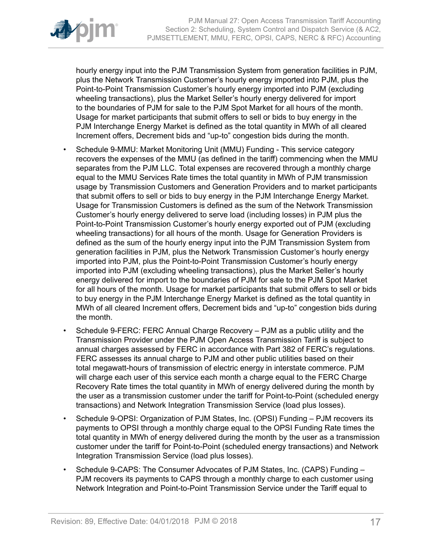

hourly energy input into the PJM Transmission System from generation facilities in PJM, plus the Network Transmission Customer's hourly energy imported into PJM, plus the Point-to-Point Transmission Customer's hourly energy imported into PJM (excluding wheeling transactions), plus the Market Seller's hourly energy delivered for import to the boundaries of PJM for sale to the PJM Spot Market for all hours of the month. Usage for market participants that submit offers to sell or bids to buy energy in the PJM Interchange Energy Market is defined as the total quantity in MWh of all cleared Increment offers, Decrement bids and "up-to" congestion bids during the month.

- Schedule 9-MMU: Market Monitoring Unit (MMU) Funding This service category recovers the expenses of the MMU (as defined in the tariff) commencing when the MMU separates from the PJM LLC. Total expenses are recovered through a monthly charge equal to the MMU Services Rate times the total quantity in MWh of PJM transmission usage by Transmission Customers and Generation Providers and to market participants that submit offers to sell or bids to buy energy in the PJM Interchange Energy Market. Usage for Transmission Customers is defined as the sum of the Network Transmission Customer's hourly energy delivered to serve load (including losses) in PJM plus the Point-to-Point Transmission Customer's hourly energy exported out of PJM (excluding wheeling transactions) for all hours of the month. Usage for Generation Providers is defined as the sum of the hourly energy input into the PJM Transmission System from generation facilities in PJM, plus the Network Transmission Customer's hourly energy imported into PJM, plus the Point-to-Point Transmission Customer's hourly energy imported into PJM (excluding wheeling transactions), plus the Market Seller's hourly energy delivered for import to the boundaries of PJM for sale to the PJM Spot Market for all hours of the month. Usage for market participants that submit offers to sell or bids to buy energy in the PJM Interchange Energy Market is defined as the total quantity in MWh of all cleared Increment offers, Decrement bids and "up-to" congestion bids during the month.
- Schedule 9-FERC: FERC Annual Charge Recovery PJM as a public utility and the Transmission Provider under the PJM Open Access Transmission Tariff is subject to annual charges assessed by FERC in accordance with Part 382 of FERC's regulations. FERC assesses its annual charge to PJM and other public utilities based on their total megawatt-hours of transmission of electric energy in interstate commerce. PJM will charge each user of this service each month a charge equal to the FERC Charge Recovery Rate times the total quantity in MWh of energy delivered during the month by the user as a transmission customer under the tariff for Point-to-Point (scheduled energy transactions) and Network Integration Transmission Service (load plus losses).
- Schedule 9-OPSI: Organization of PJM States, Inc. (OPSI) Funding PJM recovers its payments to OPSI through a monthly charge equal to the OPSI Funding Rate times the total quantity in MWh of energy delivered during the month by the user as a transmission customer under the tariff for Point-to-Point (scheduled energy transactions) and Network Integration Transmission Service (load plus losses).
- Schedule 9-CAPS: The Consumer Advocates of PJM States, Inc. (CAPS) Funding PJM recovers its payments to CAPS through a monthly charge to each customer using Network Integration and Point-to-Point Transmission Service under the Tariff equal to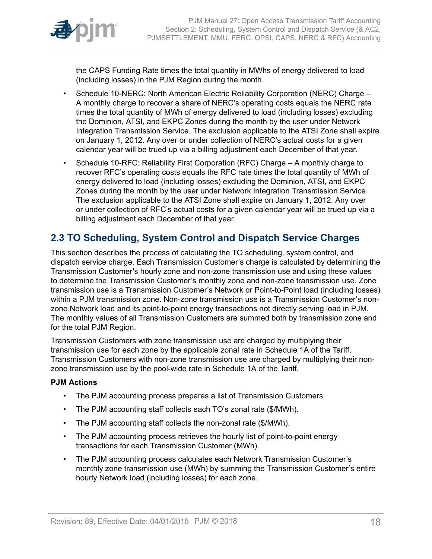

the CAPS Funding Rate times the total quantity in MWhs of energy delivered to load (including losses) in the PJM Region during the month.

- Schedule 10-NERC: North American Electric Reliability Corporation (NERC) Charge A monthly charge to recover a share of NERC's operating costs equals the NERC rate times the total quantity of MWh of energy delivered to load (including losses) excluding the Dominion, ATSI, and EKPC Zones during the month by the user under Network Integration Transmission Service. The exclusion applicable to the ATSI Zone shall expire on January 1, 2012. Any over or under collection of NERC's actual costs for a given calendar year will be trued up via a billing adjustment each December of that year.
- Schedule 10-RFC: Reliability First Corporation (RFC) Charge A monthly charge to recover RFC's operating costs equals the RFC rate times the total quantity of MWh of energy delivered to load (including losses) excluding the Dominion, ATSI, and EKPC Zones during the month by the user under Network Integration Transmission Service. The exclusion applicable to the ATSI Zone shall expire on January 1, 2012. Any over or under collection of RFC's actual costs for a given calendar year will be trued up via a billing adjustment each December of that year.

# <span id="page-17-0"></span>**2.3 TO Scheduling, System Control and Dispatch Service Charges**

This section describes the process of calculating the TO scheduling, system control, and dispatch service charge. Each Transmission Customer's charge is calculated by determining the Transmission Customer's hourly zone and non-zone transmission use and using these values to determine the Transmission Customer's monthly zone and non-zone transmission use. Zone transmission use is a Transmission Customer's Network or Point-to-Point load (including losses) within a PJM transmission zone. Non-zone transmission use is a Transmission Customer's nonzone Network load and its point-to-point energy transactions not directly serving load in PJM. The monthly values of all Transmission Customers are summed both by transmission zone and for the total PJM Region.

Transmission Customers with zone transmission use are charged by multiplying their transmission use for each zone by the applicable zonal rate in Schedule 1A of the Tariff. Transmission Customers with non-zone transmission use are charged by multiplying their nonzone transmission use by the pool-wide rate in Schedule 1A of the Tariff.

## **PJM Actions**

- The PJM accounting process prepares a list of Transmission Customers.
- The PJM accounting staff collects each TO's zonal rate (\$/MWh).
- The PJM accounting staff collects the non-zonal rate (\$/MWh).
- The PJM accounting process retrieves the hourly list of point-to-point energy transactions for each Transmission Customer (MWh).
- The PJM accounting process calculates each Network Transmission Customer's monthly zone transmission use (MWh) by summing the Transmission Customer's entire hourly Network load (including losses) for each zone.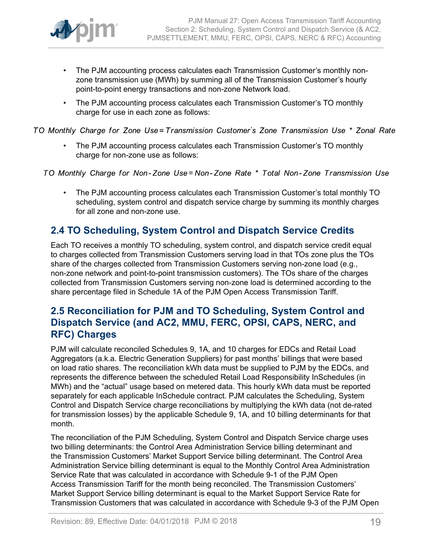

- The PJM accounting process calculates each Transmission Customer's monthly nonzone transmission use (MWh) by summing all of the Transmission Customer's hourly point-to-point energy transactions and non-zone Network load.
- The PJM accounting process calculates each Transmission Customer's TO monthly charge for use in each zone as follows:

TO Monthly Charge for Zone Use=Transmission Customer's Zone Transmission Use \* Zonal Rate

• The PJM accounting process calculates each Transmission Customer's TO monthly charge for non-zone use as follows:

TO Monthly Charge for Non-Zone Use=Non-Zone Rate \* Total Non-Zone Transmission Use

• The PJM accounting process calculates each Transmission Customer's total monthly TO scheduling, system control and dispatch service charge by summing its monthly charges for all zone and non-zone use.

# <span id="page-18-0"></span>**2.4 TO Scheduling, System Control and Dispatch Service Credits**

Each TO receives a monthly TO scheduling, system control, and dispatch service credit equal to charges collected from Transmission Customers serving load in that TOs zone plus the TOs share of the charges collected from Transmission Customers serving non-zone load (e.g., non-zone network and point-to-point transmission customers). The TOs share of the charges collected from Transmission Customers serving non-zone load is determined according to the share percentage filed in Schedule 1A of the PJM Open Access Transmission Tariff.

# <span id="page-18-1"></span>**2.5 Reconciliation for PJM and TO Scheduling, System Control and Dispatch Service (and AC2, MMU, FERC, OPSI, CAPS, NERC, and RFC) Charges**

PJM will calculate reconciled Schedules 9, 1A, and 10 charges for EDCs and Retail Load Aggregators (a.k.a. Electric Generation Suppliers) for past months' billings that were based on load ratio shares. The reconciliation kWh data must be supplied to PJM by the EDCs, and represents the difference between the scheduled Retail Load Responsibility InSchedules (in MWh) and the "actual" usage based on metered data. This hourly kWh data must be reported separately for each applicable InSchedule contract. PJM calculates the Scheduling, System Control and Dispatch Service charge reconciliations by multiplying the kWh data (not de-rated for transmission losses) by the applicable Schedule 9, 1A, and 10 billing determinants for that month.

The reconciliation of the PJM Scheduling, System Control and Dispatch Service charge uses two billing determinants: the Control Area Administration Service billing determinant and the Transmission Customers' Market Support Service billing determinant. The Control Area Administration Service billing determinant is equal to the Monthly Control Area Administration Service Rate that was calculated in accordance with Schedule 9-1 of the PJM Open Access Transmission Tariff for the month being reconciled. The Transmission Customers' Market Support Service billing determinant is equal to the Market Support Service Rate for Transmission Customers that was calculated in accordance with Schedule 9-3 of the PJM Open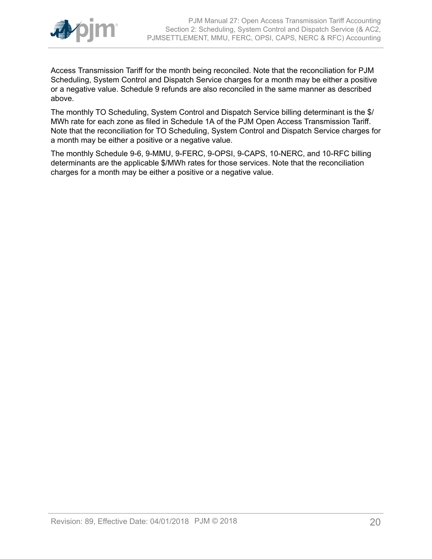

Access Transmission Tariff for the month being reconciled. Note that the reconciliation for PJM Scheduling, System Control and Dispatch Service charges for a month may be either a positive or a negative value. Schedule 9 refunds are also reconciled in the same manner as described above.

The monthly TO Scheduling, System Control and Dispatch Service billing determinant is the \$/ MWh rate for each zone as filed in Schedule 1A of the PJM Open Access Transmission Tariff. Note that the reconciliation for TO Scheduling, System Control and Dispatch Service charges for a month may be either a positive or a negative value.

The monthly Schedule 9-6, 9-MMU, 9-FERC, 9-OPSI, 9-CAPS, 10-NERC, and 10-RFC billing determinants are the applicable \$/MWh rates for those services. Note that the reconciliation charges for a month may be either a positive or a negative value.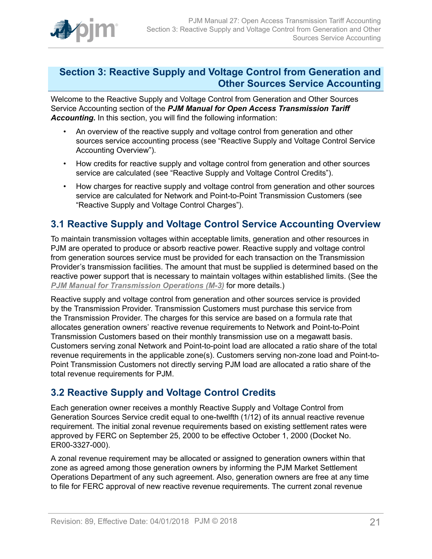

# <span id="page-20-0"></span>**Section 3: Reactive Supply and Voltage Control from Generation and Other Sources Service Accounting**

Welcome to the Reactive Supply and Voltage Control from Generation and Other Sources Service Accounting section of the *PJM Manual for Open Access Transmission Tariff Accounting.* In this section, you will find the following information:

- An overview of the reactive supply and voltage control from generation and other sources service accounting process (see "Reactive Supply and Voltage Control Service Accounting Overview").
- How credits for reactive supply and voltage control from generation and other sources service are calculated (see "Reactive Supply and Voltage Control Credits").
- How charges for reactive supply and voltage control from generation and other sources service are calculated for Network and Point-to-Point Transmission Customers (see "Reactive Supply and Voltage Control Charges").

# <span id="page-20-1"></span>**3.1 Reactive Supply and Voltage Control Service Accounting Overview**

To maintain transmission voltages within acceptable limits, generation and other resources in PJM are operated to produce or absorb reactive power. Reactive supply and voltage control from generation sources service must be provided for each transaction on the Transmission Provider's transmission facilities. The amount that must be supplied is determined based on the reactive power support that is necessary to maintain voltages within established limits. (See the *PJM Manual for [Transmission](http://www.pjm.com/~/media/documents/manuals/m03.ashx) Operations (M-3)* for more details.)

Reactive supply and voltage control from generation and other sources service is provided by the Transmission Provider. Transmission Customers must purchase this service from the Transmission Provider. The charges for this service are based on a formula rate that allocates generation owners' reactive revenue requirements to Network and Point-to-Point Transmission Customers based on their monthly transmission use on a megawatt basis. Customers serving zonal Network and Point-to-point load are allocated a ratio share of the total revenue requirements in the applicable zone(s). Customers serving non-zone load and Point-to-Point Transmission Customers not directly serving PJM load are allocated a ratio share of the total revenue requirements for PJM.

# <span id="page-20-2"></span>**3.2 Reactive Supply and Voltage Control Credits**

Each generation owner receives a monthly Reactive Supply and Voltage Control from Generation Sources Service credit equal to one-twelfth (1/12) of its annual reactive revenue requirement. The initial zonal revenue requirements based on existing settlement rates were approved by FERC on September 25, 2000 to be effective October 1, 2000 (Docket No. ER00-3327-000).

A zonal revenue requirement may be allocated or assigned to generation owners within that zone as agreed among those generation owners by informing the PJM Market Settlement Operations Department of any such agreement. Also, generation owners are free at any time to file for FERC approval of new reactive revenue requirements. The current zonal revenue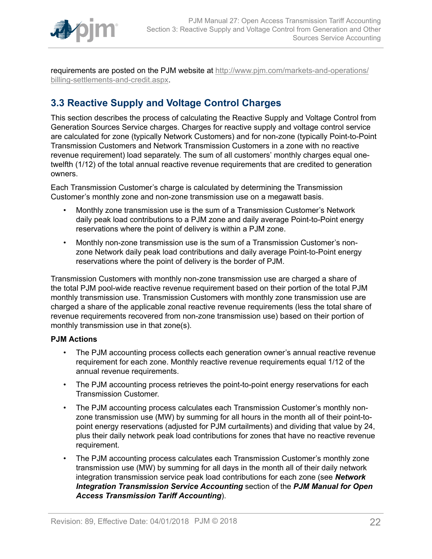

requirements are posted on the PJM website at [http://www.pjm.com/markets-and-operations/](http://www.pjm.com/markets-and-operations/billing-settlements-and-credit.aspx) [billing-settlements-and-credit.aspx.](http://www.pjm.com/markets-and-operations/billing-settlements-and-credit.aspx)

# <span id="page-21-0"></span>**3.3 Reactive Supply and Voltage Control Charges**

This section describes the process of calculating the Reactive Supply and Voltage Control from Generation Sources Service charges. Charges for reactive supply and voltage control service are calculated for zone (typically Network Customers) and for non-zone (typically Point-to-Point Transmission Customers and Network Transmission Customers in a zone with no reactive revenue requirement) load separately. The sum of all customers' monthly charges equal onetwelfth (1/12) of the total annual reactive revenue requirements that are credited to generation owners.

Each Transmission Customer's charge is calculated by determining the Transmission Customer's monthly zone and non-zone transmission use on a megawatt basis.

- Monthly zone transmission use is the sum of a Transmission Customer's Network daily peak load contributions to a PJM zone and daily average Point-to-Point energy reservations where the point of delivery is within a PJM zone.
- Monthly non-zone transmission use is the sum of a Transmission Customer's nonzone Network daily peak load contributions and daily average Point-to-Point energy reservations where the point of delivery is the border of PJM.

Transmission Customers with monthly non-zone transmission use are charged a share of the total PJM pool-wide reactive revenue requirement based on their portion of the total PJM monthly transmission use. Transmission Customers with monthly zone transmission use are charged a share of the applicable zonal reactive revenue requirements (less the total share of revenue requirements recovered from non-zone transmission use) based on their portion of monthly transmission use in that zone(s).

## **PJM Actions**

- The PJM accounting process collects each generation owner's annual reactive revenue requirement for each zone. Monthly reactive revenue requirements equal 1/12 of the annual revenue requirements.
- The PJM accounting process retrieves the point-to-point energy reservations for each Transmission Customer.
- The PJM accounting process calculates each Transmission Customer's monthly nonzone transmission use (MW) by summing for all hours in the month all of their point-topoint energy reservations (adjusted for PJM curtailments) and dividing that value by 24, plus their daily network peak load contributions for zones that have no reactive revenue requirement.
- The PJM accounting process calculates each Transmission Customer's monthly zone transmission use (MW) by summing for all days in the month all of their daily network integration transmission service peak load contributions for each zone (see *Network Integration Transmission Service Accounting* section of the *PJM Manual for Open Access Transmission Tariff Accounting*).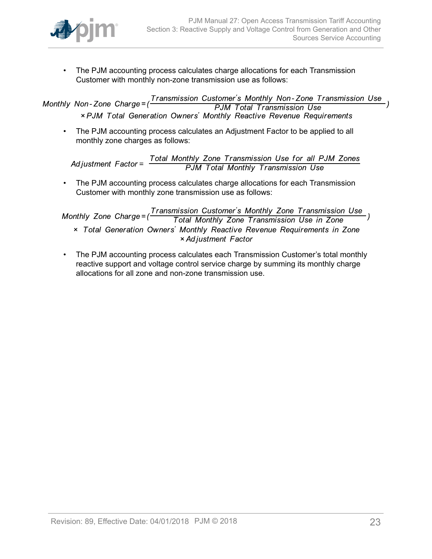

• The PJM accounting process calculates charge allocations for each Transmission Customer with monthly non-zone transmission use as follows:

Transmission Customer's Monthly Non-Zone Transmission Use Monthly Non-Zone Charge=( **PJM Total Transmission Use** × PJM Total Generation Owners' Monthly Reactive Revenue Requirements

• The PJM accounting process calculates an Adjustment Factor to be applied to all monthly zone charges as follows:

Total Monthly Zone Transmission Use for all PJM Zones<br>PJM Total Monthly Transmission Use Adjustment  $Factor =$ 

• The PJM accounting process calculates charge allocations for each Transmission Customer with monthly zone transmission use as follows:

Transmission Customer's Monthly Zone Transmission Use Monthly Zone Charge= $($ Total Monthly Zone Transmission Use in Zone x Total Generation Owners' Monthly Reactive Revenue Requirements in Zone × Adjustment Factor

• The PJM accounting process calculates each Transmission Customer's total monthly reactive support and voltage control service charge by summing its monthly charge allocations for all zone and non-zone transmission use.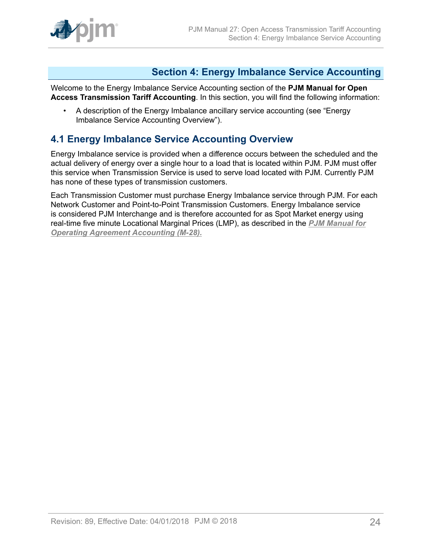

# <span id="page-23-0"></span>**Section 4: Energy Imbalance Service Accounting**

Welcome to the Energy Imbalance Service Accounting section of the **PJM Manual for Open Access Transmission Tariff Accounting**. In this section, you will find the following information:

• A description of the Energy Imbalance ancillary service accounting (see "Energy Imbalance Service Accounting Overview").

# <span id="page-23-1"></span>**4.1 Energy Imbalance Service Accounting Overview**

Energy Imbalance service is provided when a difference occurs between the scheduled and the actual delivery of energy over a single hour to a load that is located within PJM. PJM must offer this service when Transmission Service is used to serve load located with PJM. Currently PJM has none of these types of transmission customers.

Each Transmission Customer must purchase Energy Imbalance service through PJM. For each Network Customer and Point-to-Point Transmission Customers. Energy Imbalance service is considered PJM Interchange and is therefore accounted for as Spot Market energy using real-time five minute Locational Marginal Prices (LMP), as described in the *[PJM Manual for](http://www.pjm.com/~/media/documents/manuals/m28.ashx) [Operating Agreement Accounting \(M-28\).](http://www.pjm.com/~/media/documents/manuals/m28.ashx)*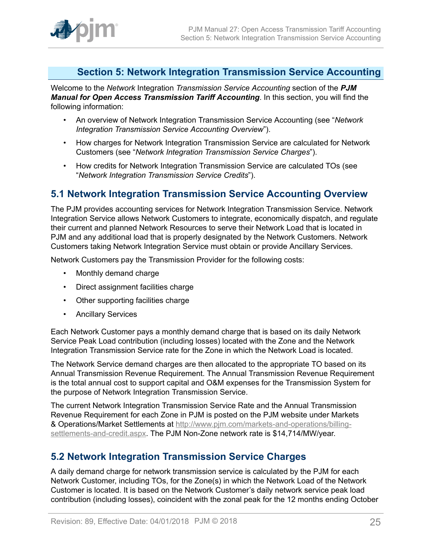

# <span id="page-24-0"></span>**Section 5: Network Integration Transmission Service Accounting**

Welcome to the *Network* Integration *Transmission Service Accounting* section of the *PJM Manual for Open Access Transmission Tariff Accounting*. In this section, you will find the following information:

- An overview of Network Integration Transmission Service Accounting (see "*Network Integration Transmission Service Accounting Overview*").
- How charges for Network Integration Transmission Service are calculated for Network Customers (see "*Network Integration Transmission Service Charges*").
- How credits for Network Integration Transmission Service are calculated TOs (see "*Network Integration Transmission Service Credits*").

# <span id="page-24-1"></span>**5.1 Network Integration Transmission Service Accounting Overview**

The PJM provides accounting services for Network Integration Transmission Service. Network Integration Service allows Network Customers to integrate, economically dispatch, and regulate their current and planned Network Resources to serve their Network Load that is located in PJM and any additional load that is properly designated by the Network Customers. Network Customers taking Network Integration Service must obtain or provide Ancillary Services.

Network Customers pay the Transmission Provider for the following costs:

- Monthly demand charge
- Direct assignment facilities charge
- Other supporting facilities charge
- Ancillary Services

Each Network Customer pays a monthly demand charge that is based on its daily Network Service Peak Load contribution (including losses) located with the Zone and the Network Integration Transmission Service rate for the Zone in which the Network Load is located.

The Network Service demand charges are then allocated to the appropriate TO based on its Annual Transmission Revenue Requirement. The Annual Transmission Revenue Requirement is the total annual cost to support capital and O&M expenses for the Transmission System for the purpose of Network Integration Transmission Service.

The current Network Integration Transmission Service Rate and the Annual Transmission Revenue Requirement for each Zone in PJM is posted on the PJM website under Markets & Operations/Market Settlements at [http://www.pjm.com/markets-and-operations/billing](http://www.pjm.com/markets-and-operations/billing-settlements-and-credit.aspx)[settlements-and-credit.aspx](http://www.pjm.com/markets-and-operations/billing-settlements-and-credit.aspx). The PJM Non-Zone network rate is \$14,714/MW/year.

# <span id="page-24-2"></span>**5.2 Network Integration Transmission Service Charges**

A daily demand charge for network transmission service is calculated by the PJM for each Network Customer, including TOs, for the Zone(s) in which the Network Load of the Network Customer is located. It is based on the Network Customer's daily network service peak load contribution (including losses), coincident with the zonal peak for the 12 months ending October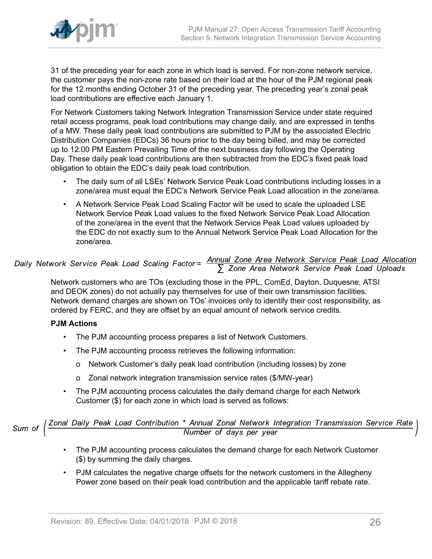

31 of the preceding year for each zone in which load is served. For non-zone network service, the customer pays the non-zone rate based on their load at the hour of the PJM regional peak for the 12 months ending October 31 of the preceding year. The preceding year's zonal peak load contributions are effective each January 1.

For Network Customers taking Network Integration Transmission Service under state required retail access programs, peak load contributions may change daily, and are expressed in tenths of a MW. These daily peak load contributions are submitted to PJM by the associated Electric Distribution Companies (EDCs) 36 hours prior to the day being billed, and may be corrected up to 12:00 PM Eastern Prevailing Time of the next business day following the Operating Day. These daily peak load contributions are then subtracted from the EDC's fixed peak load obligation to obtain the EDC's daily peak load contribution.

- The daily sum of all LSEs' Network Service Peak Load contributions including losses in a zone/area must equal the EDC's Network Service Peak Load allocation in the zone/area.
- A Network Service Peak Load Scaling Factor will be used to scale the uploaded LSE Network Service Peak Load values to the fixed Network Service Peak Load Allocation of the zone/area in the event that the Network Service Peak Load values uploaded by the EDC do not exactly sum to the Annual Network Service Peak Load Allocation for the zone/area.

# Daily Network Service Peak Load Scaling Factor=  $\frac{\text{Annual} \text{ zone Area Network Service Peak Load Allocation}}{\sum \text{ Zone Area Network Service Peak Load Uploads}}$

Network customers who are TOs (excluding those in the PPL, ComEd, Dayton, Duquesne, ATSI and DEOK zones) do not actually pay themselves for use of their own transmission facilities. Network demand charges are shown on TOs' invoices only to identify their cost responsibility, as ordered by FERC, and they are offset by an equal amount of network service credits.

## **PJM Actions**

- The PJM accounting process prepares a list of Network Customers.
- The PJM accounting process retrieves the following information:
	- o Network Customer's daily peak load contribution (including losses) by zone
	- o Zonal network integration transmission service rates (\$/MW-year)
- The PJM accounting process calculates the daily demand charge for each Network Customer (\$) for each zone in which load is served as follows:

Sum of  $\left(\frac{Zonal\ Daily\ Peak\ Load\ Continution\ *\ Annual\ Zonal\ Network\ Integration\ Transmission\ Service\ Rate}{Number\ of\ days\ per\ year}$ 

- The PJM accounting process calculates the demand charge for each Network Customer (\$) by summing the daily charges.
- PJM calculates the negative charge offsets for the network customers in the Allegheny Power zone based on their peak load contribution and the applicable tariff rebate rate.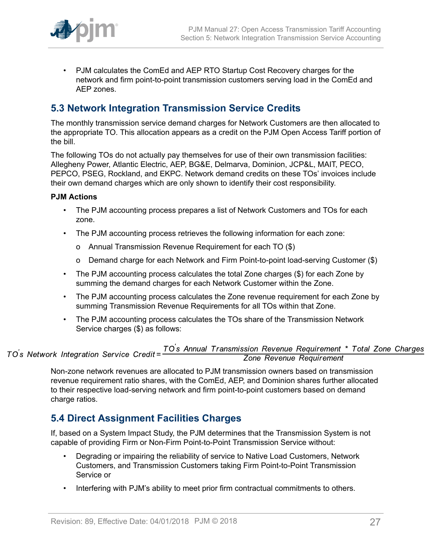

• PJM calculates the ComEd and AEP RTO Startup Cost Recovery charges for the network and firm point-to-point transmission customers serving load in the ComEd and AEP zones.

# <span id="page-26-0"></span>**5.3 Network Integration Transmission Service Credits**

The monthly transmission service demand charges for Network Customers are then allocated to the appropriate TO. This allocation appears as a credit on the PJM Open Access Tariff portion of the bill.

The following TOs do not actually pay themselves for use of their own transmission facilities: Allegheny Power, Atlantic Electric, AEP, BG&E, Delmarva, Dominion, JCP&L, MAIT, PECO, PEPCO, PSEG, Rockland, and EKPC. Network demand credits on these TOs' invoices include their own demand charges which are only shown to identify their cost responsibility.

## **PJM Actions**

- The PJM accounting process prepares a list of Network Customers and TOs for each zone.
- The PJM accounting process retrieves the following information for each zone:
	- o Annual Transmission Revenue Requirement for each TO (\$)
	- o Demand charge for each Network and Firm Point-to-point load-serving Customer (\$)
- The PJM accounting process calculates the total Zone charges (\$) for each Zone by summing the demand charges for each Network Customer within the Zone.
- The PJM accounting process calculates the Zone revenue requirement for each Zone by summing Transmission Revenue Requirements for all TOs within that Zone.
- The PJM accounting process calculates the TOs share of the Transmission Network Service charges (\$) as follows:

# TO<sup>'</sup>s Network Integration Service Credit=<sup>TO's</sup> Annual Transmission Revenue Requirement \* Total Zone Charges<br>Zone Revenue Requirement Zone Revenue Requirement

Non-zone network revenues are allocated to PJM transmission owners based on transmission revenue requirement ratio shares, with the ComEd, AEP, and Dominion shares further allocated to their respective load-serving network and firm point-to-point customers based on demand charge ratios.

# <span id="page-26-1"></span>**5.4 Direct Assignment Facilities Charges**

If, based on a System Impact Study, the PJM determines that the Transmission System is not capable of providing Firm or Non-Firm Point-to-Point Transmission Service without:

- Degrading or impairing the reliability of service to Native Load Customers, Network Customers, and Transmission Customers taking Firm Point-to-Point Transmission Service or
- Interfering with PJM's ability to meet prior firm contractual commitments to others.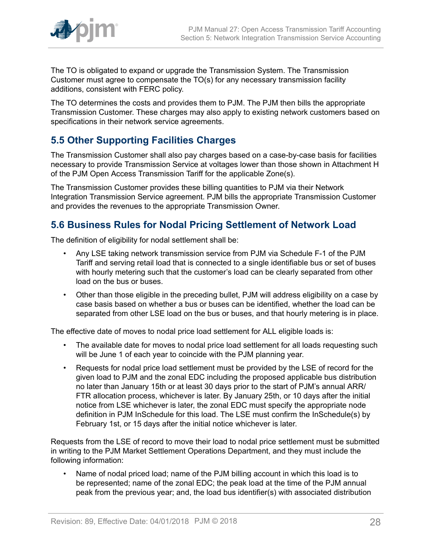

The TO is obligated to expand or upgrade the Transmission System. The Transmission Customer must agree to compensate the TO(s) for any necessary transmission facility additions, consistent with FERC policy.

The TO determines the costs and provides them to PJM. The PJM then bills the appropriate Transmission Customer. These charges may also apply to existing network customers based on specifications in their network service agreements.

# <span id="page-27-0"></span>**5.5 Other Supporting Facilities Charges**

The Transmission Customer shall also pay charges based on a case-by-case basis for facilities necessary to provide Transmission Service at voltages lower than those shown in Attachment H of the PJM Open Access Transmission Tariff for the applicable Zone(s).

The Transmission Customer provides these billing quantities to PJM via their Network Integration Transmission Service agreement. PJM bills the appropriate Transmission Customer and provides the revenues to the appropriate Transmission Owner.

# <span id="page-27-1"></span>**5.6 Business Rules for Nodal Pricing Settlement of Network Load**

The definition of eligibility for nodal settlement shall be:

- Any LSE taking network transmission service from PJM via Schedule F-1 of the PJM Tariff and serving retail load that is connected to a single identifiable bus or set of buses with hourly metering such that the customer's load can be clearly separated from other load on the bus or buses.
- Other than those eligible in the preceding bullet, PJM will address eligibility on a case by case basis based on whether a bus or buses can be identified, whether the load can be separated from other LSE load on the bus or buses, and that hourly metering is in place.

The effective date of moves to nodal price load settlement for ALL eligible loads is:

- The available date for moves to nodal price load settlement for all loads requesting such will be June 1 of each year to coincide with the PJM planning year.
- Requests for nodal price load settlement must be provided by the LSE of record for the given load to PJM and the zonal EDC including the proposed applicable bus distribution no later than January 15th or at least 30 days prior to the start of PJM's annual ARR/ FTR allocation process, whichever is later. By January 25th, or 10 days after the initial notice from LSE whichever is later, the zonal EDC must specify the appropriate node definition in PJM InSchedule for this load. The LSE must confirm the InSchedule(s) by February 1st, or 15 days after the initial notice whichever is later.

Requests from the LSE of record to move their load to nodal price settlement must be submitted in writing to the PJM Market Settlement Operations Department, and they must include the following information:

• Name of nodal priced load; name of the PJM billing account in which this load is to be represented; name of the zonal EDC; the peak load at the time of the PJM annual peak from the previous year; and, the load bus identifier(s) with associated distribution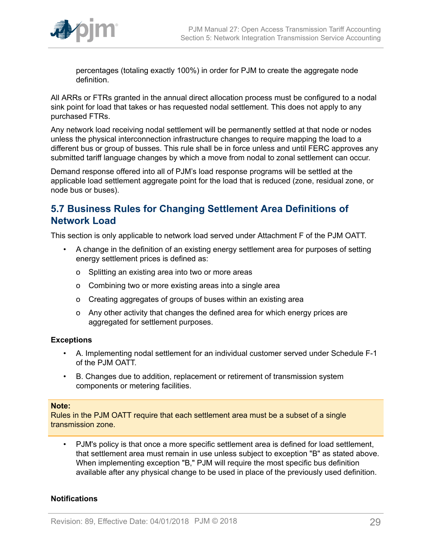

percentages (totaling exactly 100%) in order for PJM to create the aggregate node definition.

All ARRs or FTRs granted in the annual direct allocation process must be configured to a nodal sink point for load that takes or has requested nodal settlement. This does not apply to any purchased FTRs.

Any network load receiving nodal settlement will be permanently settled at that node or nodes unless the physical interconnection infrastructure changes to require mapping the load to a different bus or group of busses. This rule shall be in force unless and until FERC approves any submitted tariff language changes by which a move from nodal to zonal settlement can occur.

Demand response offered into all of PJM's load response programs will be settled at the applicable load settlement aggregate point for the load that is reduced (zone, residual zone, or node bus or buses).

# <span id="page-28-0"></span>**5.7 Business Rules for Changing Settlement Area Definitions of Network Load**

This section is only applicable to network load served under Attachment F of the PJM OATT.

- A change in the definition of an existing energy settlement area for purposes of setting energy settlement prices is defined as:
	- o Splitting an existing area into two or more areas
	- o Combining two or more existing areas into a single area
	- o Creating aggregates of groups of buses within an existing area
	- o Any other activity that changes the defined area for which energy prices are aggregated for settlement purposes.

## **Exceptions**

- A. Implementing nodal settlement for an individual customer served under Schedule F-1 of the PJM OATT.
- B. Changes due to addition, replacement or retirement of transmission system components or metering facilities.

#### **Note:**

Rules in the PJM OATT require that each settlement area must be a subset of a single transmission zone.

• PJM's policy is that once a more specific settlement area is defined for load settlement, that settlement area must remain in use unless subject to exception "B" as stated above. When implementing exception "B," PJM will require the most specific bus definition available after any physical change to be used in place of the previously used definition.

## **Notifications**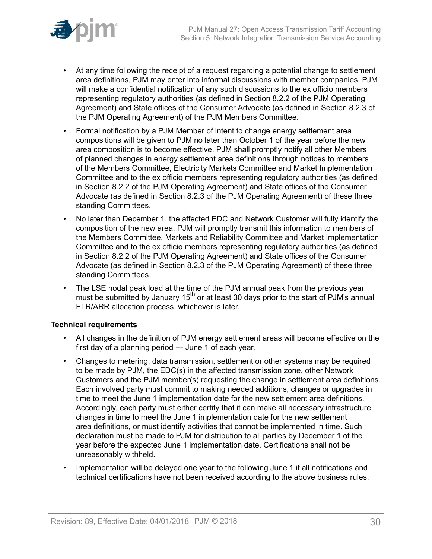

- At any time following the receipt of a request regarding a potential change to settlement area definitions, PJM may enter into informal discussions with member companies. PJM will make a confidential notification of any such discussions to the ex officio members representing regulatory authorities (as defined in Section 8.2.2 of the PJM Operating Agreement) and State offices of the Consumer Advocate (as defined in Section 8.2.3 of the PJM Operating Agreement) of the PJM Members Committee.
- Formal notification by a PJM Member of intent to change energy settlement area compositions will be given to PJM no later than October 1 of the year before the new area composition is to become effective. PJM shall promptly notify all other Members of planned changes in energy settlement area definitions through notices to members of the Members Committee, Electricity Markets Committee and Market Implementation Committee and to the ex officio members representing regulatory authorities (as defined in Section 8.2.2 of the PJM Operating Agreement) and State offices of the Consumer Advocate (as defined in Section 8.2.3 of the PJM Operating Agreement) of these three standing Committees.
- No later than December 1, the affected EDC and Network Customer will fully identify the composition of the new area. PJM will promptly transmit this information to members of the Members Committee, Markets and Reliability Committee and Market Implementation Committee and to the ex officio members representing regulatory authorities (as defined in Section 8.2.2 of the PJM Operating Agreement) and State offices of the Consumer Advocate (as defined in Section 8.2.3 of the PJM Operating Agreement) of these three standing Committees.
- The LSE nodal peak load at the time of the PJM annual peak from the previous year must be submitted by January  $15<sup>th</sup>$  or at least 30 days prior to the start of PJM's annual FTR/ARR allocation process, whichever is later.

## **Technical requirements**

- All changes in the definition of PJM energy settlement areas will become effective on the first day of a planning period --- June 1 of each year.
- Changes to metering, data transmission, settlement or other systems may be required to be made by PJM, the EDC(s) in the affected transmission zone, other Network Customers and the PJM member(s) requesting the change in settlement area definitions. Each involved party must commit to making needed additions, changes or upgrades in time to meet the June 1 implementation date for the new settlement area definitions. Accordingly, each party must either certify that it can make all necessary infrastructure changes in time to meet the June 1 implementation date for the new settlement area definitions, or must identify activities that cannot be implemented in time. Such declaration must be made to PJM for distribution to all parties by December 1 of the year before the expected June 1 implementation date. Certifications shall not be unreasonably withheld.
- Implementation will be delayed one year to the following June 1 if all notifications and technical certifications have not been received according to the above business rules.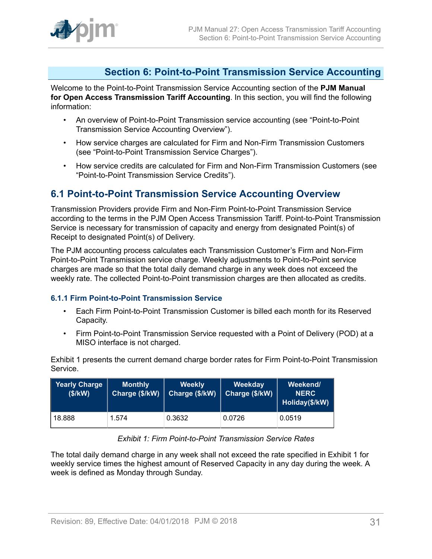# <span id="page-30-0"></span>**Section 6: Point-to-Point Transmission Service Accounting**

Welcome to the Point-to-Point Transmission Service Accounting section of the **PJM Manual for Open Access Transmission Tariff Accounting**. In this section, you will find the following information:

- An overview of Point-to-Point Transmission service accounting (see "Point-to-Point Transmission Service Accounting Overview").
- How service charges are calculated for Firm and Non-Firm Transmission Customers (see "Point-to-Point Transmission Service Charges").
- How service credits are calculated for Firm and Non-Firm Transmission Customers (see "Point-to-Point Transmission Service Credits").

# <span id="page-30-1"></span>**6.1 Point-to-Point Transmission Service Accounting Overview**

Transmission Providers provide Firm and Non-Firm Point-to-Point Transmission Service according to the terms in the PJM Open Access Transmission Tariff. Point-to-Point Transmission Service is necessary for transmission of capacity and energy from designated Point(s) of Receipt to designated Point(s) of Delivery.

The PJM accounting process calculates each Transmission Customer's Firm and Non-Firm Point-to-Point Transmission service charge. Weekly adjustments to Point-to-Point service charges are made so that the total daily demand charge in any week does not exceed the weekly rate. The collected Point-to-Point transmission charges are then allocated as credits.

## <span id="page-30-2"></span>**6.1.1 Firm Point-to-Point Transmission Service**

- Each Firm Point-to-Point Transmission Customer is billed each month for its Reserved Capacity.
- Firm Point-to-Point Transmission Service requested with a Point of Delivery (POD) at a MISO interface is not charged.

Exhibit 1 presents the current demand charge border rates for Firm Point-to-Point Transmission Service.

<span id="page-30-3"></span>

| Yearly Charge<br>(\$/KN) | <b>Monthly</b><br>Charge (\$/kW) | <b>Weekly</b><br>Charge (\$/kW) | Weekday<br>Charge (\$/kW) | Weekend/<br><b>NERC</b><br>Holiday(\$/kW) |
|--------------------------|----------------------------------|---------------------------------|---------------------------|-------------------------------------------|
| 18.888                   | 1.574                            | 0.3632                          | 0.0726                    | 0.0519                                    |

## *Exhibit 1: Firm Point-to-Point Transmission Service Rates*

The total daily demand charge in any week shall not exceed the rate specified in Exhibit 1 for weekly service times the highest amount of Reserved Capacity in any day during the week. A week is defined as Monday through Sunday.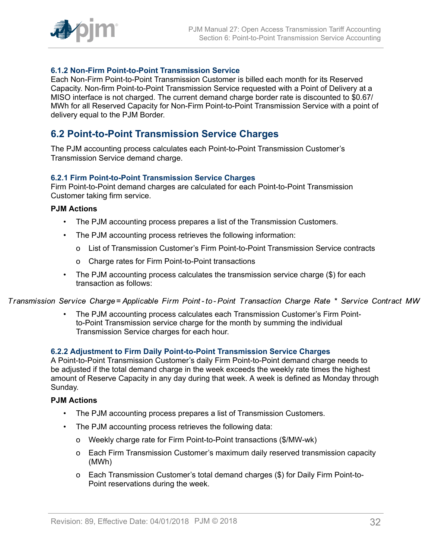

## <span id="page-31-0"></span>**6.1.2 Non-Firm Point-to-Point Transmission Service**

Each Non-Firm Point-to-Point Transmission Customer is billed each month for its Reserved Capacity. Non-firm Point-to-Point Transmission Service requested with a Point of Delivery at a MISO interface is not charged. The current demand charge border rate is discounted to \$0.67/ MWh for all Reserved Capacity for Non-Firm Point-to-Point Transmission Service with a point of delivery equal to the PJM Border.

# <span id="page-31-1"></span>**6.2 Point-to-Point Transmission Service Charges**

The PJM accounting process calculates each Point-to-Point Transmission Customer's Transmission Service demand charge.

## <span id="page-31-2"></span>**6.2.1 Firm Point-to-Point Transmission Service Charges**

Firm Point-to-Point demand charges are calculated for each Point-to-Point Transmission Customer taking firm service.

#### **PJM Actions**

- The PJM accounting process prepares a list of the Transmission Customers.
- The PJM accounting process retrieves the following information:
	- o List of Transmission Customer's Firm Point-to-Point Transmission Service contracts
	- o Charge rates for Firm Point-to-Point transactions
- The PJM accounting process calculates the transmission service charge (\$) for each transaction as follows:

Transmission Service Charge= Applicable Firm Point-to-Point Transaction Charge Rate \* Service Contract MW

• The PJM accounting process calculates each Transmission Customer's Firm Pointto-Point Transmission service charge for the month by summing the individual Transmission Service charges for each hour.

#### <span id="page-31-3"></span>**6.2.2 Adjustment to Firm Daily Point-to-Point Transmission Service Charges**

A Point-to-Point Transmission Customer's daily Firm Point-to-Point demand charge needs to be adjusted if the total demand charge in the week exceeds the weekly rate times the highest amount of Reserve Capacity in any day during that week. A week is defined as Monday through Sunday.

## **PJM Actions**

- The PJM accounting process prepares a list of Transmission Customers.
- The PJM accounting process retrieves the following data:
	- o Weekly charge rate for Firm Point-to-Point transactions (\$/MW-wk)
	- o Each Firm Transmission Customer's maximum daily reserved transmission capacity (MWh)
	- o Each Transmission Customer's total demand charges (\$) for Daily Firm Point-to-Point reservations during the week.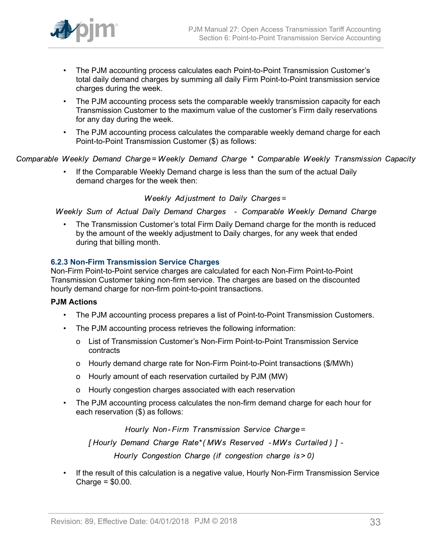

- The PJM accounting process calculates each Point-to-Point Transmission Customer's total daily demand charges by summing all daily Firm Point-to-Point transmission service charges during the week.
- The PJM accounting process sets the comparable weekly transmission capacity for each Transmission Customer to the maximum value of the customer's Firm daily reservations for any day during the week.
- The PJM accounting process calculates the comparable weekly demand charge for each Point-to-Point Transmission Customer (\$) as follows:

Comparable Weekly Demand Charge=Weekly Demand Charge \* Comparable Weekly Transmission Capacity

• If the Comparable Weekly Demand charge is less than the sum of the actual Daily demand charges for the week then:

Weekly Adjustment to Daily Charges=

Weekly Sum of Actual Daily Demand Charges - Comparable Weekly Demand Charge

• The Transmission Customer's total Firm Daily Demand charge for the month is reduced by the amount of the weekly adjustment to Daily charges, for any week that ended during that billing month.

## <span id="page-32-0"></span>**6.2.3 Non-Firm Transmission Service Charges**

Non-Firm Point-to-Point service charges are calculated for each Non-Firm Point-to-Point Transmission Customer taking non-firm service. The charges are based on the discounted hourly demand charge for non-firm point-to-point transactions.

## **PJM Actions**

- The PJM accounting process prepares a list of Point-to-Point Transmission Customers.
- The PJM accounting process retrieves the following information:
	- o List of Transmission Customer's Non-Firm Point-to-Point Transmission Service contracts
	- o Hourly demand charge rate for Non-Firm Point-to-Point transactions (\$/MWh)
	- o Hourly amount of each reservation curtailed by PJM (MW)
	- o Hourly congestion charges associated with each reservation
- The PJM accounting process calculates the non-firm demand charge for each hour for each reservation (\$) as follows:

Hourly Non-Firm Transmission Service Charge=

[Hourly Demand Charge Rate\* (MWs Reserved - MWs Curtailed) ] -

Hourly Congestion Charge (if congestion charge is > 0)

• If the result of this calculation is a negative value, Hourly Non-Firm Transmission Service Charge = \$0.00.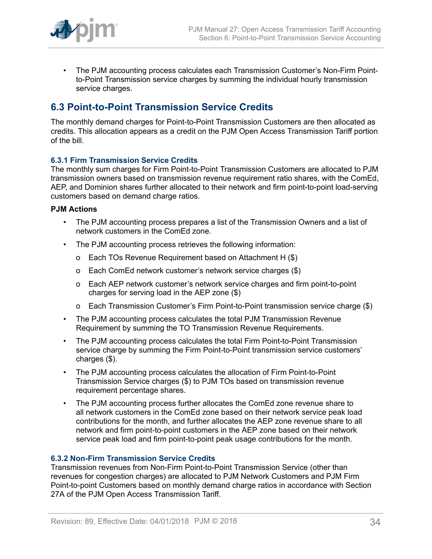

• The PJM accounting process calculates each Transmission Customer's Non-Firm Pointto-Point Transmission service charges by summing the individual hourly transmission service charges.

# <span id="page-33-0"></span>**6.3 Point-to-Point Transmission Service Credits**

The monthly demand charges for Point-to-Point Transmission Customers are then allocated as credits. This allocation appears as a credit on the PJM Open Access Transmission Tariff portion of the bill.

## <span id="page-33-1"></span>**6.3.1 Firm Transmission Service Credits**

The monthly sum charges for Firm Point-to-Point Transmission Customers are allocated to PJM transmission owners based on transmission revenue requirement ratio shares, with the ComEd, AEP, and Dominion shares further allocated to their network and firm point-to-point load-serving customers based on demand charge ratios.

### **PJM Actions**

- The PJM accounting process prepares a list of the Transmission Owners and a list of network customers in the ComEd zone.
- The PJM accounting process retrieves the following information:
	- o Each TOs Revenue Requirement based on Attachment H (\$)
	- o Each ComEd network customer's network service charges (\$)
	- o Each AEP network customer's network service charges and firm point-to-point charges for serving load in the AEP zone (\$)
	- o Each Transmission Customer's Firm Point-to-Point transmission service charge (\$)
- The PJM accounting process calculates the total PJM Transmission Revenue Requirement by summing the TO Transmission Revenue Requirements.
- The PJM accounting process calculates the total Firm Point-to-Point Transmission service charge by summing the Firm Point-to-Point transmission service customers' charges (\$).
- The PJM accounting process calculates the allocation of Firm Point-to-Point Transmission Service charges (\$) to PJM TOs based on transmission revenue requirement percentage shares.
- The PJM accounting process further allocates the ComEd zone revenue share to all network customers in the ComEd zone based on their network service peak load contributions for the month, and further allocates the AEP zone revenue share to all network and firm point-to-point customers in the AEP zone based on their network service peak load and firm point-to-point peak usage contributions for the month.

## <span id="page-33-2"></span>**6.3.2 Non-Firm Transmission Service Credits**

Transmission revenues from Non-Firm Point-to-Point Transmission Service (other than revenues for congestion charges) are allocated to PJM Network Customers and PJM Firm Point-to-point Customers based on monthly demand charge ratios in accordance with Section 27A of the PJM Open Access Transmission Tariff.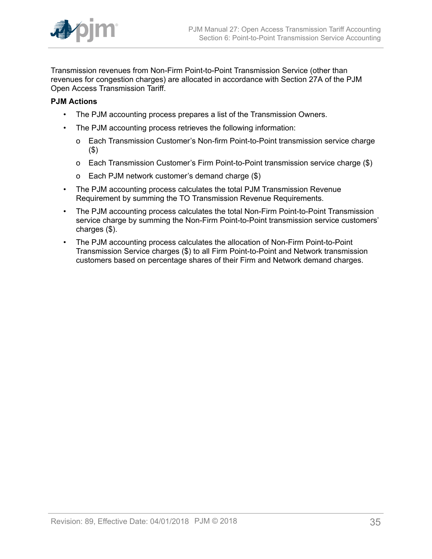

Transmission revenues from Non-Firm Point-to-Point Transmission Service (other than revenues for congestion charges) are allocated in accordance with Section 27A of the PJM Open Access Transmission Tariff.

## **PJM Actions**

- The PJM accounting process prepares a list of the Transmission Owners.
- The PJM accounting process retrieves the following information:
	- o Each Transmission Customer's Non-firm Point-to-Point transmission service charge (\$)
	- o Each Transmission Customer's Firm Point-to-Point transmission service charge (\$)
	- o Each PJM network customer's demand charge (\$)
- The PJM accounting process calculates the total PJM Transmission Revenue Requirement by summing the TO Transmission Revenue Requirements.
- The PJM accounting process calculates the total Non-Firm Point-to-Point Transmission service charge by summing the Non-Firm Point-to-Point transmission service customers' charges (\$).
- The PJM accounting process calculates the allocation of Non-Firm Point-to-Point Transmission Service charges (\$) to all Firm Point-to-Point and Network transmission customers based on percentage shares of their Firm and Network demand charges.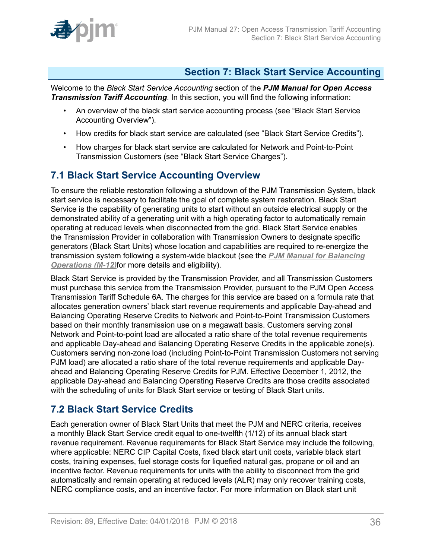

# <span id="page-35-0"></span>**Section 7: Black Start Service Accounting**

Welcome to the *Black Start Service Accounting* section of the *PJM Manual for Open Access Transmission Tariff Accounting*. In this section, you will find the following information:

- An overview of the black start service accounting process (see "Black Start Service Accounting Overview").
- How credits for black start service are calculated (see "Black Start Service Credits").
- How charges for black start service are calculated for Network and Point-to-Point Transmission Customers (see "Black Start Service Charges").

# <span id="page-35-1"></span>**7.1 Black Start Service Accounting Overview**

To ensure the reliable restoration following a shutdown of the PJM Transmission System, black start service is necessary to facilitate the goal of complete system restoration. Black Start Service is the capability of generating units to start without an outside electrical supply or the demonstrated ability of a generating unit with a high operating factor to automatically remain operating at reduced levels when disconnected from the grid. Black Start Service enables the Transmission Provider in collaboration with Transmission Owners to designate specific generators (Black Start Units) whose location and capabilities are required to re-energize the transmission system following a system-wide blackout (see the *[PJM Manual for Balancing](http://www.pjm.com/~/media/documents/manuals/m12.ashx) [Operations \(M-12\)](http://www.pjm.com/~/media/documents/manuals/m12.ashx)*for more details and eligibility).

Black Start Service is provided by the Transmission Provider, and all Transmission Customers must purchase this service from the Transmission Provider, pursuant to the PJM Open Access Transmission Tariff Schedule 6A. The charges for this service are based on a formula rate that allocates generation owners' black start revenue requirements and applicable Day-ahead and Balancing Operating Reserve Credits to Network and Point-to-Point Transmission Customers based on their monthly transmission use on a megawatt basis. Customers serving zonal Network and Point-to-point load are allocated a ratio share of the total revenue requirements and applicable Day-ahead and Balancing Operating Reserve Credits in the applicable zone(s). Customers serving non-zone load (including Point-to-Point Transmission Customers not serving PJM load) are allocated a ratio share of the total revenue requirements and applicable Dayahead and Balancing Operating Reserve Credits for PJM. Effective December 1, 2012, the applicable Day-ahead and Balancing Operating Reserve Credits are those credits associated with the scheduling of units for Black Start service or testing of Black Start units.

# <span id="page-35-2"></span>**7.2 Black Start Service Credits**

Each generation owner of Black Start Units that meet the PJM and NERC criteria, receives a monthly Black Start Service credit equal to one-twelfth (1/12) of its annual black start revenue requirement. Revenue requirements for Black Start Service may include the following, where applicable: NERC CIP Capital Costs, fixed black start unit costs, variable black start costs, training expenses, fuel storage costs for liquefied natural gas, propane or oil and an incentive factor. Revenue requirements for units with the ability to disconnect from the grid automatically and remain operating at reduced levels (ALR) may only recover training costs, NERC compliance costs, and an incentive factor. For more information on Black start unit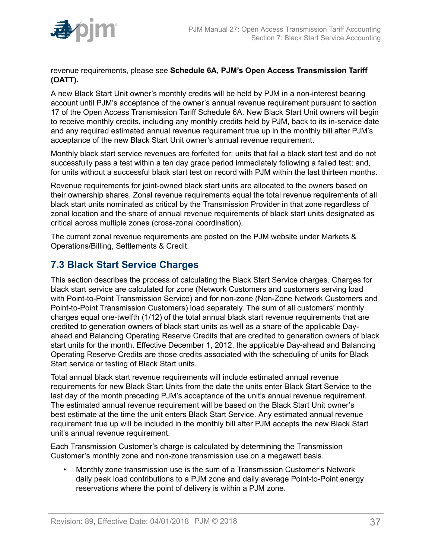

revenue requirements, please see **Schedule 6A, PJM's Open Access Transmission Tariff (OATT).**

A new Black Start Unit owner's monthly credits will be held by PJM in a non-interest bearing account until PJM's acceptance of the owner's annual revenue requirement pursuant to section 17 of the Open Access Transmission Tariff Schedule 6A. New Black Start Unit owners will begin to receive monthly credits, including any monthly credits held by PJM, back to its in-service date and any required estimated annual revenue requirement true up in the monthly bill after PJM's acceptance of the new Black Start Unit owner's annual revenue requirement.

Monthly black start service revenues are forfeited for: units that fail a black start test and do not successfully pass a test within a ten day grace period immediately following a failed test; and, for units without a successful black start test on record with PJM within the last thirteen months.

Revenue requirements for joint-owned black start units are allocated to the owners based on their ownership shares. Zonal revenue requirements equal the total revenue requirements of all black start units nominated as critical by the Transmission Provider in that zone regardless of zonal location and the share of annual revenue requirements of black start units designated as critical across multiple zones (cross-zonal coordination).

The current zonal revenue requirements are posted on the PJM website under Markets & Operations/Billing, Settlements & Credit.

# <span id="page-36-0"></span>**7.3 Black Start Service Charges**

This section describes the process of calculating the Black Start Service charges. Charges for black start service are calculated for zone (Network Customers and customers serving load with Point-to-Point Transmission Service) and for non-zone (Non-Zone Network Customers and Point-to-Point Transmission Customers) load separately. The sum of all customers' monthly charges equal one-twelfth (1/12) of the total annual black start revenue requirements that are credited to generation owners of black start units as well as a share of the applicable Dayahead and Balancing Operating Reserve Credits that are credited to generation owners of black start units for the month. Effective December 1, 2012, the applicable Day-ahead and Balancing Operating Reserve Credits are those credits associated with the scheduling of units for Black Start service or testing of Black Start units.

Total annual black start revenue requirements will include estimated annual revenue requirements for new Black Start Units from the date the units enter Black Start Service to the last day of the month preceding PJM's acceptance of the unit's annual revenue requirement. The estimated annual revenue requirement will be based on the Black Start Unit owner's best estimate at the time the unit enters Black Start Service. Any estimated annual revenue requirement true up will be included in the monthly bill after PJM accepts the new Black Start unit's annual revenue requirement.

Each Transmission Customer's charge is calculated by determining the Transmission Customer's monthly zone and non-zone transmission use on a megawatt basis.

• Monthly zone transmission use is the sum of a Transmission Customer's Network daily peak load contributions to a PJM zone and daily average Point-to-Point energy reservations where the point of delivery is within a PJM zone.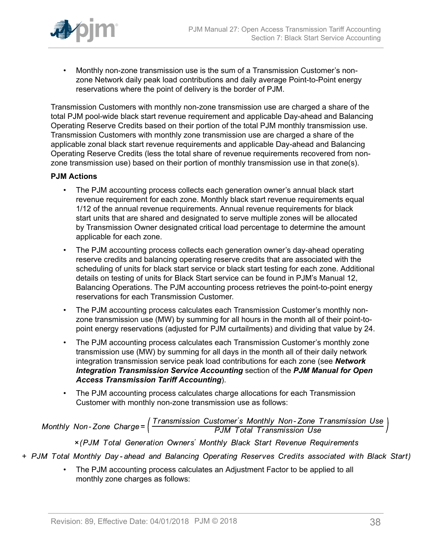

• Monthly non-zone transmission use is the sum of a Transmission Customer's nonzone Network daily peak load contributions and daily average Point-to-Point energy reservations where the point of delivery is the border of PJM.

Transmission Customers with monthly non-zone transmission use are charged a share of the total PJM pool-wide black start revenue requirement and applicable Day-ahead and Balancing Operating Reserve Credits based on their portion of the total PJM monthly transmission use. Transmission Customers with monthly zone transmission use are charged a share of the applicable zonal black start revenue requirements and applicable Day-ahead and Balancing Operating Reserve Credits (less the total share of revenue requirements recovered from nonzone transmission use) based on their portion of monthly transmission use in that zone(s).

## **PJM Actions**

- The PJM accounting process collects each generation owner's annual black start revenue requirement for each zone. Monthly black start revenue requirements equal 1/12 of the annual revenue requirements. Annual revenue requirements for black start units that are shared and designated to serve multiple zones will be allocated by Transmission Owner designated critical load percentage to determine the amount applicable for each zone.
- The PJM accounting process collects each generation owner's day-ahead operating reserve credits and balancing operating reserve credits that are associated with the scheduling of units for black start service or black start testing for each zone. Additional details on testing of units for Black Start service can be found in PJM's Manual 12, Balancing Operations. The PJM accounting process retrieves the point-to-point energy reservations for each Transmission Customer.
- The PJM accounting process calculates each Transmission Customer's monthly nonzone transmission use (MW) by summing for all hours in the month all of their point-topoint energy reservations (adjusted for PJM curtailments) and dividing that value by 24.
- The PJM accounting process calculates each Transmission Customer's monthly zone transmission use (MW) by summing for all days in the month all of their daily network integration transmission service peak load contributions for each zone (see *Network Integration Transmission Service Accounting* section of the *PJM Manual for Open Access Transmission Tariff Accounting*).
- The PJM accounting process calculates charge allocations for each Transmission Customer with monthly non-zone transmission use as follows:

Monthly Non-Zone Charge= $\left(\frac{Transmission\ Customer's\ Monthly\ Non-Zone\ Transmission\ Use}{PJM\ Total\ Transmission\ Use}\right)$ 

x (PJM Total Generation Owners' Monthly Black Start Revenue Requirements

- + PJM Total Monthly Day-ahead and Balancing Operating Reserves Credits associated with Black Start)
	- The PJM accounting process calculates an Adjustment Factor to be applied to all monthly zone charges as follows: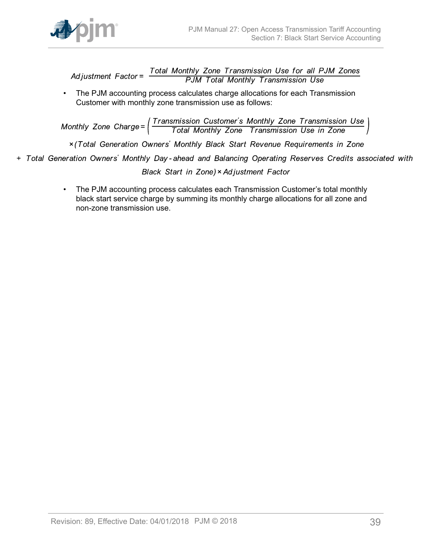

Total Monthly Zone Transmission Use for all PJM Zones<br>PJM Total Monthly Transmission Use Ad iustment  $Factor =$ 

• The PJM accounting process calculates charge allocations for each Transmission Customer with monthly zone transmission use as follows:

Monthly Zone Charge=  $\left(\frac{Transmission\ Customer's\ Monthly\ zone\ Transmission\ Use\ }}{Total\ Monthly\ Zone\ Transmission\ Use\ in\ Zone}$ 

x (Total Generation Owners' Monthly Black Start Revenue Requirements in Zone

+ Total Generation Owners' Monthly Day-ahead and Balancing Operating Reserves Credits associated with

Black Start in Zone) × Adjustment Factor

• The PJM accounting process calculates each Transmission Customer's total monthly black start service charge by summing its monthly charge allocations for all zone and non-zone transmission use.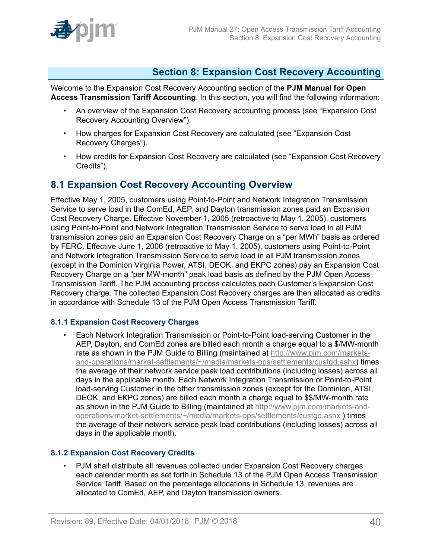

# <span id="page-39-0"></span>**Section 8: Expansion Cost Recovery Accounting**

Welcome to the Expansion Cost Recovery Accounting section of the **PJM Manual for Open Access Transmission Tariff Accounting**. In this section, you will find the following information:

- An overview of the Expansion Cost Recovery accounting process (see "Expansion Cost Recovery Accounting Overview").
- How charges for Expansion Cost Recovery are calculated (see "Expansion Cost Recovery Charges").
- How credits for Expansion Cost Recovery are calculated (see "Expansion Cost Recovery Credits").

## <span id="page-39-1"></span>**8.1 Expansion Cost Recovery Accounting Overview**

Effective May 1, 2005, customers using Point-to-Point and Network Integration Transmission Service to serve load in the ComEd, AEP, and Dayton transmission zones paid an Expansion Cost Recovery Charge. Effective November 1, 2005 (retroactive to May 1, 2005), customers using Point-to-Point and Network Integration Transmission Service to serve load in all PJM transmission zones paid an Expansion Cost Recovery Charge on a "per MWh" basis as ordered by FERC. Effective June 1, 2006 (retroactive to May 1, 2005), customers using Point-to-Point and Network Integration Transmission Service to serve load in all PJM transmission zones (except in the Dominion Virginia Power, ATSI, DEOK, and EKPC zones) pay an Expansion Cost Recovery Charge on a "per MW-month" peak load basis as defined by the PJM Open Access Transmission Tariff. The PJM accounting process calculates each Customer's Expansion Cost Recovery charge. The collected Expansion Cost Recovery charges are then allocated as credits in accordance with Schedule 13 of the PJM Open Access Transmission Tariff.

## <span id="page-39-2"></span>**8.1.1 Expansion Cost Recovery Charges**

• Each Network Integration Transmission or Point-to-Point load-serving Customer in the AEP, Dayton, and ComEd zones are billed each month a charge equal to a \$/MW-month rate as shown in the PJM Guide to Billing (maintained at [http://www.pjm.com/markets](http://www.pjm.com/markets-and-operations/market-settlements/~/media/markets-ops/settlements/custgd.ashx)[and-operations/market-settlements/~/media/markets-ops/settlements/custgd.ashx\)](http://www.pjm.com/markets-and-operations/market-settlements/~/media/markets-ops/settlements/custgd.ashx) times the average of their network service peak load contributions (including losses) across all days in the applicable month. Each Network Integration Transmission or Point-to-Point load-serving Customer in the other transmission zones (except for the Dominion, ATSI, DEOK, and EKPC zones) are billed each month a charge equal to \$\$/MW-month rate as shown in the PJM Guide to Billing (maintained at [http://www.pjm.com/markets-and](http://www.pjm.com/markets-and-operations/market-settlements/~/media/markets-ops/settlements/custgd.ashx)[operations/market-settlements/~/media/markets-ops/settlements/custgd.ashx](http://www.pjm.com/markets-and-operations/market-settlements/~/media/markets-ops/settlements/custgd.ashx) ) times the average of their network service peak load contributions (including losses) across all days in the applicable month.

## <span id="page-39-3"></span>**8.1.2 Expansion Cost Recovery Credits**

• PJM shall distribute all revenues collected under Expansion Cost Recovery charges each calendar month as set forth in Schedule 13 of the PJM Open Access Transmission Service Tariff. Based on the percentage allocations in Schedule 13, revenues are allocated to ComEd, AEP, and Dayton transmission owners.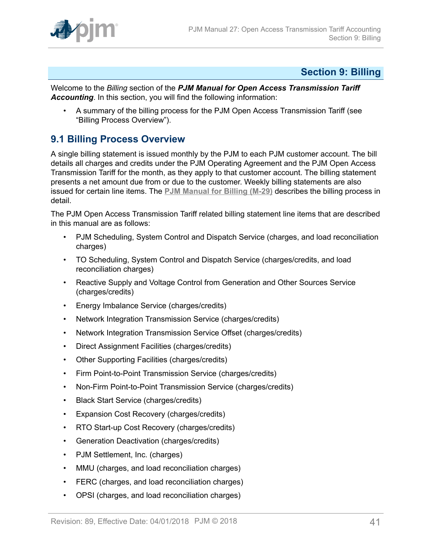

# <span id="page-40-0"></span>**Section 9: Billing**

Welcome to the *Billing* section of the *PJM Manual for Open Access Transmission Tariff Accounting*. In this section, you will find the following information:

• A summary of the billing process for the PJM Open Access Transmission Tariff (see "Billing Process Overview").

# <span id="page-40-1"></span>**9.1 Billing Process Overview**

A single billing statement is issued monthly by the PJM to each PJM customer account. The bill details all charges and credits under the PJM Operating Agreement and the PJM Open Access Transmission Tariff for the month, as they apply to that customer account. The billing statement presents a net amount due from or due to the customer. Weekly billing statements are also issued for certain line items. The **[PJM Manual for Billing \(M-29\)](http://www.pjm.com/~/media/documents/manuals/m29.ashx)** describes the billing process in detail.

The PJM Open Access Transmission Tariff related billing statement line items that are described in this manual are as follows:

- PJM Scheduling, System Control and Dispatch Service (charges, and load reconciliation charges)
- TO Scheduling, System Control and Dispatch Service (charges/credits, and load reconciliation charges)
- Reactive Supply and Voltage Control from Generation and Other Sources Service (charges/credits)
- Energy Imbalance Service (charges/credits)
- Network Integration Transmission Service (charges/credits)
- Network Integration Transmission Service Offset (charges/credits)
- Direct Assignment Facilities (charges/credits)
- Other Supporting Facilities (charges/credits)
- Firm Point-to-Point Transmission Service (charges/credits)
- Non-Firm Point-to-Point Transmission Service (charges/credits)
- Black Start Service (charges/credits)
- Expansion Cost Recovery (charges/credits)
- RTO Start-up Cost Recovery (charges/credits)
- Generation Deactivation (charges/credits)
- PJM Settlement, Inc. (charges)
- MMU (charges, and load reconciliation charges)
- FERC (charges, and load reconciliation charges)
- OPSI (charges, and load reconciliation charges)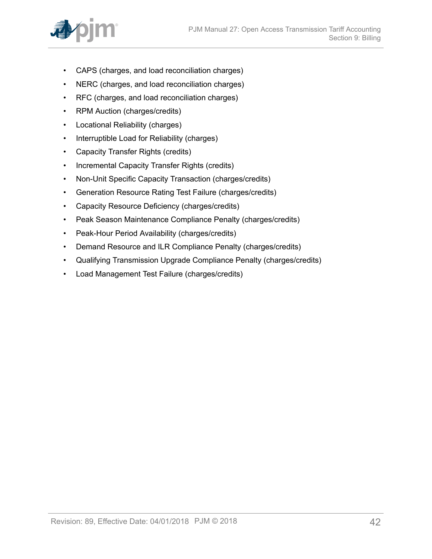

- CAPS (charges, and load reconciliation charges)
- NERC (charges, and load reconciliation charges)
- RFC (charges, and load reconciliation charges)
- RPM Auction (charges/credits)
- Locational Reliability (charges)
- Interruptible Load for Reliability (charges)
- Capacity Transfer Rights (credits)
- Incremental Capacity Transfer Rights (credits)
- Non-Unit Specific Capacity Transaction (charges/credits)
- Generation Resource Rating Test Failure (charges/credits)
- Capacity Resource Deficiency (charges/credits)
- Peak Season Maintenance Compliance Penalty (charges/credits)
- Peak-Hour Period Availability (charges/credits)
- Demand Resource and ILR Compliance Penalty (charges/credits)
- Qualifying Transmission Upgrade Compliance Penalty (charges/credits)
- Load Management Test Failure (charges/credits)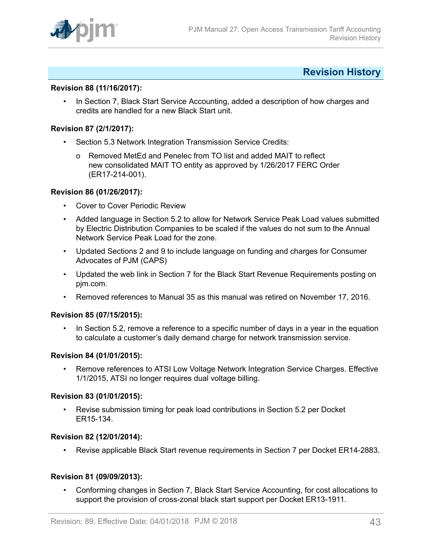

# <span id="page-42-0"></span>**Revision History**

## **Revision 88 (11/16/2017):**

• In Section 7, Black Start Service Accounting, added a description of how charges and credits are handled for a new Black Start unit.

#### **Revision 87 (2/1/2017):**

- Section 5.3 Network Integration Transmission Service Credits:
	- o Removed MetEd and Penelec from TO list and added MAIT to reflect new consolidated MAIT TO entity as approved by 1/26/2017 FERC Order (ER17-214-001).

### **Revision 86 (01/26/2017):**

- Cover to Cover Periodic Review
- Added language in Section 5.2 to allow for Network Service Peak Load values submitted by Electric Distribution Companies to be scaled if the values do not sum to the Annual Network Service Peak Load for the zone.
- Updated Sections 2 and 9 to include language on funding and charges for Consumer Advocates of PJM (CAPS)
- Updated the web link in Section 7 for the Black Start Revenue Requirements posting on pjm.com.
- Removed references to Manual 35 as this manual was retired on November 17, 2016.

#### **Revision 85 (07/15/2015):**

• In Section 5.2, remove a reference to a specific number of days in a year in the equation to calculate a customer's daily demand charge for network transmission service.

#### **Revision 84 (01/01/2015):**

• Remove references to ATSI Low Voltage Network Integration Service Charges. Effective 1/1/2015, ATSI no longer requires dual voltage billing.

#### **Revision 83 (01/01/2015):**

• Revise submission timing for peak load contributions in Section 5.2 per Docket ER15-134.

#### **Revision 82 (12/01/2014):**

• Revise applicable Black Start revenue requirements in Section 7 per Docket ER14-2883.

## **Revision 81 (09/09/2013):**

• Conforming changes in Section 7, Black Start Service Accounting, for cost allocations to support the provision of cross-zonal black start support per Docket ER13-1911.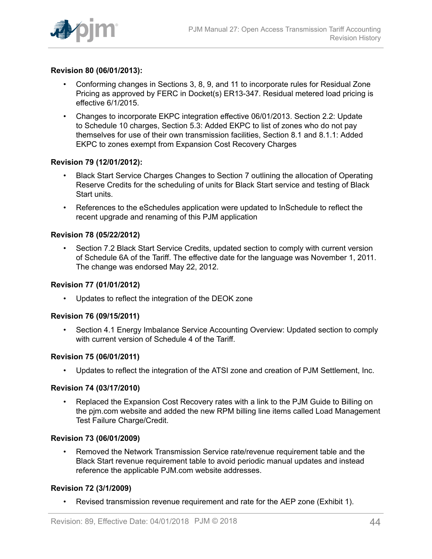

## **Revision 80 (06/01/2013):**

- Conforming changes in Sections 3, 8, 9, and 11 to incorporate rules for Residual Zone Pricing as approved by FERC in Docket(s) ER13-347. Residual metered load pricing is effective 6/1/2015.
- Changes to incorporate EKPC integration effective 06/01/2013. Section 2.2: Update to Schedule 10 charges, Section 5.3: Added EKPC to list of zones who do not pay themselves for use of their own transmission facilities, Section 8.1 and 8.1.1: Added EKPC to zones exempt from Expansion Cost Recovery Charges

## **Revision 79 (12/01/2012):**

- Black Start Service Charges Changes to Section 7 outlining the allocation of Operating Reserve Credits for the scheduling of units for Black Start service and testing of Black Start units.
- References to the eSchedules application were updated to InSchedule to reflect the recent upgrade and renaming of this PJM application

### **Revision 78 (05/22/2012)**

Section 7.2 Black Start Service Credits, updated section to comply with current version of Schedule 6A of the Tariff. The effective date for the language was November 1, 2011. The change was endorsed May 22, 2012.

#### **Revision 77 (01/01/2012)**

• Updates to reflect the integration of the DEOK zone

#### **Revision 76 (09/15/2011)**

• Section 4.1 Energy Imbalance Service Accounting Overview: Updated section to comply with current version of Schedule 4 of the Tariff.

#### **Revision 75 (06/01/2011)**

• Updates to reflect the integration of the ATSI zone and creation of PJM Settlement, Inc.

#### **Revision 74 (03/17/2010)**

• Replaced the Expansion Cost Recovery rates with a link to the PJM Guide to Billing on the pjm.com website and added the new RPM billing line items called Load Management Test Failure Charge/Credit.

#### **Revision 73 (06/01/2009)**

• Removed the Network Transmission Service rate/revenue requirement table and the Black Start revenue requirement table to avoid periodic manual updates and instead reference the applicable PJM.com website addresses.

#### **Revision 72 (3/1/2009)**

• Revised transmission revenue requirement and rate for the AEP zone (Exhibit 1).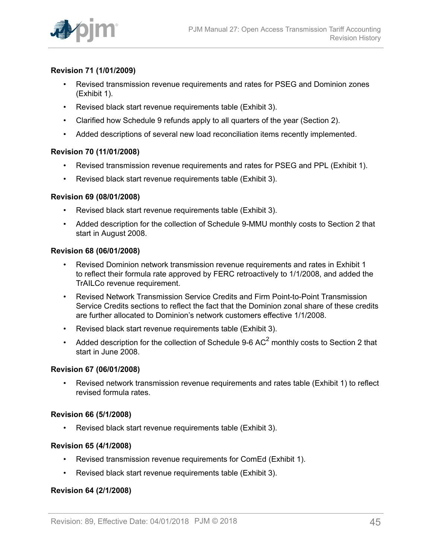

## **Revision 71 (1/01/2009)**

- Revised transmission revenue requirements and rates for PSEG and Dominion zones (Exhibit 1).
- Revised black start revenue requirements table (Exhibit 3).
- Clarified how Schedule 9 refunds apply to all quarters of the year (Section 2).
- Added descriptions of several new load reconciliation items recently implemented.

### **Revision 70 (11/01/2008)**

- Revised transmission revenue requirements and rates for PSEG and PPL (Exhibit 1).
- Revised black start revenue requirements table (Exhibit 3).

### **Revision 69 (08/01/2008)**

- Revised black start revenue requirements table (Exhibit 3).
- Added description for the collection of Schedule 9-MMU monthly costs to Section 2 that start in August 2008.

#### **Revision 68 (06/01/2008)**

- Revised Dominion network transmission revenue requirements and rates in Exhibit 1 to reflect their formula rate approved by FERC retroactively to 1/1/2008, and added the TrAILCo revenue requirement.
- Revised Network Transmission Service Credits and Firm Point-to-Point Transmission Service Credits sections to reflect the fact that the Dominion zonal share of these credits are further allocated to Dominion's network customers effective 1/1/2008.
- Revised black start revenue requirements table (Exhibit 3).
- Added description for the collection of Schedule 9-6 AC<sup>2</sup> monthly costs to Section 2 that start in June 2008.

#### **Revision 67 (06/01/2008)**

• Revised network transmission revenue requirements and rates table (Exhibit 1) to reflect revised formula rates.

#### **Revision 66 (5/1/2008)**

Revised black start revenue requirements table (Exhibit 3).

#### **Revision 65 (4/1/2008)**

- Revised transmission revenue requirements for ComEd (Exhibit 1).
- Revised black start revenue requirements table (Exhibit 3).

## **Revision 64 (2/1/2008)**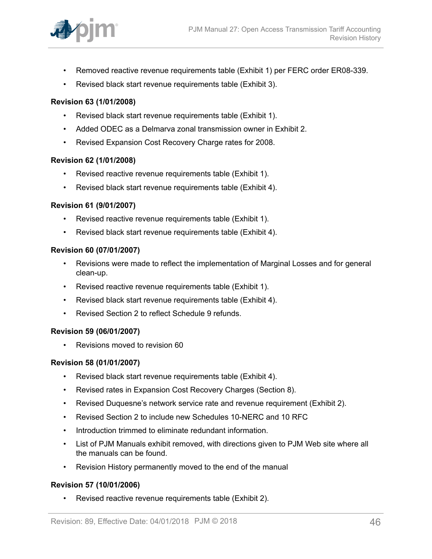

- Removed reactive revenue requirements table (Exhibit 1) per FERC order ER08-339.
- Revised black start revenue requirements table (Exhibit 3).

### **Revision 63 (1/01/2008)**

- Revised black start revenue requirements table (Exhibit 1).
- Added ODEC as a Delmarva zonal transmission owner in Exhibit 2.
- Revised Expansion Cost Recovery Charge rates for 2008.

#### **Revision 62 (1/01/2008)**

- Revised reactive revenue requirements table (Exhibit 1).
- Revised black start revenue requirements table (Exhibit 4).

### **Revision 61 (9/01/2007)**

- Revised reactive revenue requirements table (Exhibit 1).
- Revised black start revenue requirements table (Exhibit 4).

#### **Revision 60 (07/01/2007)**

- Revisions were made to reflect the implementation of Marginal Losses and for general clean-up.
- Revised reactive revenue requirements table (Exhibit 1).
- Revised black start revenue requirements table (Exhibit 4).
- Revised Section 2 to reflect Schedule 9 refunds.

#### **Revision 59 (06/01/2007)**

• Revisions moved to revision 60

#### **Revision 58 (01/01/2007)**

- Revised black start revenue requirements table (Exhibit 4).
- Revised rates in Expansion Cost Recovery Charges (Section 8).
- Revised Duquesne's network service rate and revenue requirement (Exhibit 2).
- Revised Section 2 to include new Schedules 10-NERC and 10 RFC
- Introduction trimmed to eliminate redundant information.
- List of PJM Manuals exhibit removed, with directions given to PJM Web site where all the manuals can be found.
- Revision History permanently moved to the end of the manual

## **Revision 57 (10/01/2006)**

• Revised reactive revenue requirements table (Exhibit 2).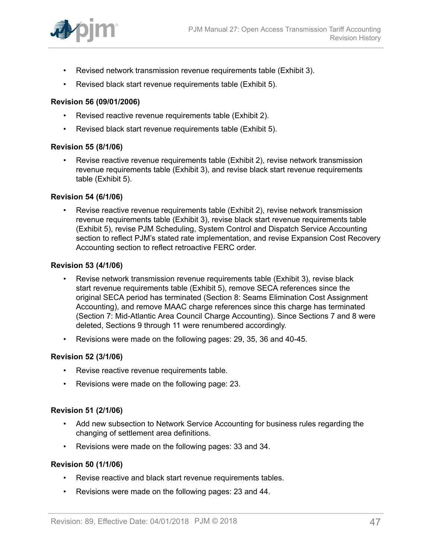

- Revised network transmission revenue requirements table (Exhibit 3).
- Revised black start revenue requirements table (Exhibit 5).

#### **Revision 56 (09/01/2006)**

- Revised reactive revenue requirements table (Exhibit 2).
- Revised black start revenue requirements table (Exhibit 5).

#### **Revision 55 (8/1/06)**

• Revise reactive revenue requirements table (Exhibit 2), revise network transmission revenue requirements table (Exhibit 3), and revise black start revenue requirements table (Exhibit 5).

#### **Revision 54 (6/1/06)**

• Revise reactive revenue requirements table (Exhibit 2), revise network transmission revenue requirements table (Exhibit 3), revise black start revenue requirements table (Exhibit 5), revise PJM Scheduling, System Control and Dispatch Service Accounting section to reflect PJM's stated rate implementation, and revise Expansion Cost Recovery Accounting section to reflect retroactive FERC order.

#### **Revision 53 (4/1/06)**

- Revise network transmission revenue requirements table (Exhibit 3), revise black start revenue requirements table (Exhibit 5), remove SECA references since the original SECA period has terminated (Section 8: Seams Elimination Cost Assignment Accounting), and remove MAAC charge references since this charge has terminated (Section 7: Mid-Atlantic Area Council Charge Accounting). Since Sections 7 and 8 were deleted, Sections 9 through 11 were renumbered accordingly.
- Revisions were made on the following pages: 29, 35, 36 and 40-45.

#### **Revision 52 (3/1/06)**

- Revise reactive revenue requirements table.
- Revisions were made on the following page: 23.

#### **Revision 51 (2/1/06)**

- Add new subsection to Network Service Accounting for business rules regarding the changing of settlement area definitions.
- Revisions were made on the following pages: 33 and 34.

#### **Revision 50 (1/1/06)**

- Revise reactive and black start revenue requirements tables.
- Revisions were made on the following pages: 23 and 44.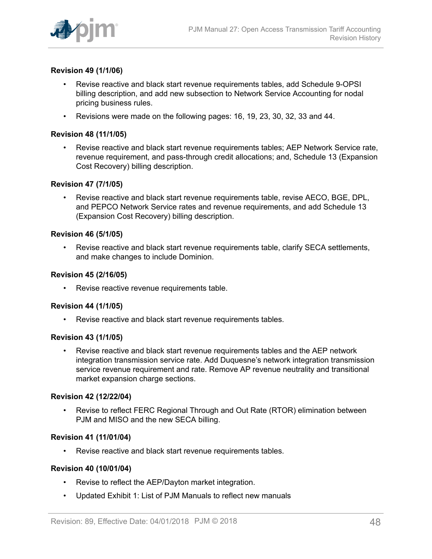

## **Revision 49 (1/1/06)**

- Revise reactive and black start revenue requirements tables, add Schedule 9-OPSI billing description, and add new subsection to Network Service Accounting for nodal pricing business rules.
- Revisions were made on the following pages: 16, 19, 23, 30, 32, 33 and 44.

#### **Revision 48 (11/1/05)**

• Revise reactive and black start revenue requirements tables; AEP Network Service rate, revenue requirement, and pass-through credit allocations; and, Schedule 13 (Expansion Cost Recovery) billing description.

#### **Revision 47 (7/1/05)**

• Revise reactive and black start revenue requirements table, revise AECO, BGE, DPL, and PEPCO Network Service rates and revenue requirements, and add Schedule 13 (Expansion Cost Recovery) billing description.

#### **Revision 46 (5/1/05)**

• Revise reactive and black start revenue requirements table, clarify SECA settlements, and make changes to include Dominion.

### **Revision 45 (2/16/05)**

Revise reactive revenue requirements table.

#### **Revision 44 (1/1/05)**

• Revise reactive and black start revenue requirements tables.

#### **Revision 43 (1/1/05)**

• Revise reactive and black start revenue requirements tables and the AEP network integration transmission service rate. Add Duquesne's network integration transmission service revenue requirement and rate. Remove AP revenue neutrality and transitional market expansion charge sections.

#### **Revision 42 (12/22/04)**

• Revise to reflect FERC Regional Through and Out Rate (RTOR) elimination between PJM and MISO and the new SECA billing.

#### **Revision 41 (11/01/04)**

• Revise reactive and black start revenue requirements tables.

#### **Revision 40 (10/01/04)**

- Revise to reflect the AEP/Dayton market integration.
- Updated Exhibit 1: List of PJM Manuals to reflect new manuals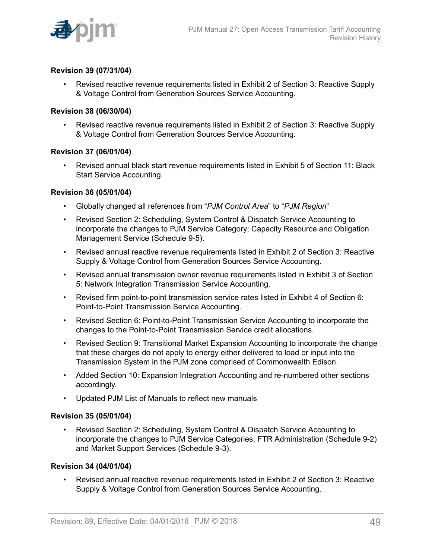

## **Revision 39 (07/31/04)**

• Revised reactive revenue requirements listed in Exhibit 2 of Section 3: Reactive Supply & Voltage Control from Generation Sources Service Accounting.

#### **Revision 38 (06/30/04)**

• Revised reactive revenue requirements listed in Exhibit 2 of Section 3: Reactive Supply & Voltage Control from Generation Sources Service Accounting.

#### **Revision 37 (06/01/04)**

• Revised annual black start revenue requirements listed in Exhibit 5 of Section 11: Black Start Service Accounting.

#### **Revision 36 (05/01/04)**

- Globally changed all references from "*PJM Control Area*" to "*PJM Region*"
- Revised Section 2: Scheduling, System Control & Dispatch Service Accounting to incorporate the changes to PJM Service Category; Capacity Resource and Obligation Management Service (Schedule 9-5).
- Revised annual reactive revenue requirements listed in Exhibit 2 of Section 3: Reactive Supply & Voltage Control from Generation Sources Service Accounting.
- Revised annual transmission owner revenue requirements listed in Exhibit 3 of Section 5: Network Integration Transmission Service Accounting.
- Revised firm point-to-point transmission service rates listed in Exhibit 4 of Section 6: Point-to-Point Transmission Service Accounting.
- Revised Section 6: Point-to-Point Transmission Service Accounting to incorporate the changes to the Point-to-Point Transmission Service credit allocations.
- Revised Section 9: Transitional Market Expansion Accounting to incorporate the change that these charges do not apply to energy either delivered to load or input into the Transmission System in the PJM zone comprised of Commonwealth Edison.
- Added Section 10: Expansion Integration Accounting and re-numbered other sections accordingly.
- Updated PJM List of Manuals to reflect new manuals

#### **Revision 35 (05/01/04)**

• Revised Section 2: Scheduling, System Control & Dispatch Service Accounting to incorporate the changes to PJM Service Categories; FTR Administration (Schedule 9-2) and Market Support Services (Schedule 9-3).

#### **Revision 34 (04/01/04)**

• Revised annual reactive revenue requirements listed in Exhibit 2 of Section 3: Reactive Supply & Voltage Control from Generation Sources Service Accounting.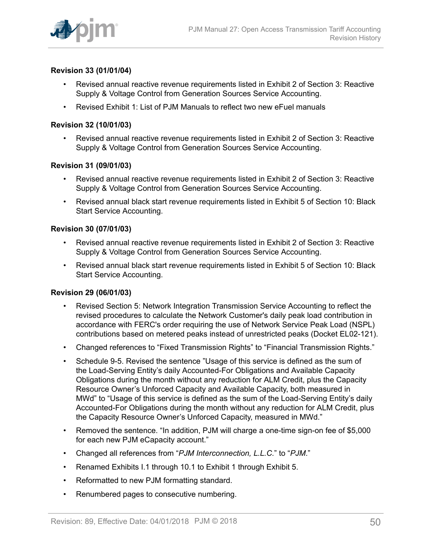

## **Revision 33 (01/01/04)**

- Revised annual reactive revenue requirements listed in Exhibit 2 of Section 3: Reactive Supply & Voltage Control from Generation Sources Service Accounting.
- Revised Exhibit 1: List of PJM Manuals to reflect two new eFuel manuals

### **Revision 32 (10/01/03)**

• Revised annual reactive revenue requirements listed in Exhibit 2 of Section 3: Reactive Supply & Voltage Control from Generation Sources Service Accounting.

### **Revision 31 (09/01/03)**

- Revised annual reactive revenue requirements listed in Exhibit 2 of Section 3: Reactive Supply & Voltage Control from Generation Sources Service Accounting.
- Revised annual black start revenue requirements listed in Exhibit 5 of Section 10: Black Start Service Accounting.

### **Revision 30 (07/01/03)**

- Revised annual reactive revenue requirements listed in Exhibit 2 of Section 3: Reactive Supply & Voltage Control from Generation Sources Service Accounting.
- Revised annual black start revenue requirements listed in Exhibit 5 of Section 10: Black Start Service Accounting.

#### **Revision 29 (06/01/03)**

- Revised Section 5: Network Integration Transmission Service Accounting to reflect the revised procedures to calculate the Network Customer's daily peak load contribution in accordance with FERC's order requiring the use of Network Service Peak Load (NSPL) contributions based on metered peaks instead of unrestricted peaks (Docket EL02-121).
- Changed references to "Fixed Transmission Rights" to "Financial Transmission Rights."
- Schedule 9-5. Revised the sentence "Usage of this service is defined as the sum of the Load-Serving Entity's daily Accounted-For Obligations and Available Capacity Obligations during the month without any reduction for ALM Credit, plus the Capacity Resource Owner's Unforced Capacity and Available Capacity, both measured in MWd" to "Usage of this service is defined as the sum of the Load-Serving Entity's daily Accounted-For Obligations during the month without any reduction for ALM Credit, plus the Capacity Resource Owner's Unforced Capacity, measured in MWd."
- Removed the sentence. "In addition, PJM will charge a one-time sign-on fee of \$5,000 for each new PJM eCapacity account."
- Changed all references from "*PJM Interconnection, L.L.C.*" to "*PJM*."
- Renamed Exhibits I.1 through 10.1 to Exhibit 1 through Exhibit 5.
- Reformatted to new PJM formatting standard.
- Renumbered pages to consecutive numbering.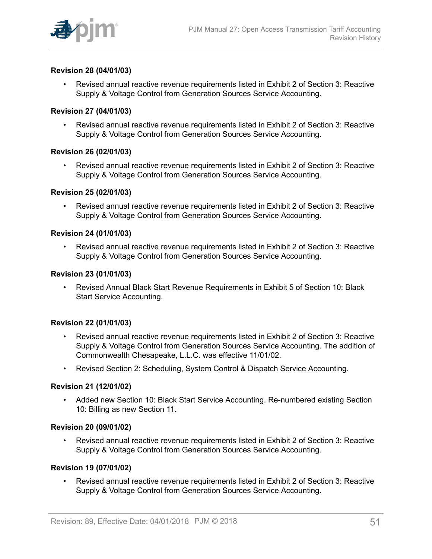

## **Revision 28 (04/01/03)**

• Revised annual reactive revenue requirements listed in Exhibit 2 of Section 3: Reactive Supply & Voltage Control from Generation Sources Service Accounting.

#### **Revision 27 (04/01/03)**

• Revised annual reactive revenue requirements listed in Exhibit 2 of Section 3: Reactive Supply & Voltage Control from Generation Sources Service Accounting.

#### **Revision 26 (02/01/03)**

• Revised annual reactive revenue requirements listed in Exhibit 2 of Section 3: Reactive Supply & Voltage Control from Generation Sources Service Accounting.

#### **Revision 25 (02/01/03)**

• Revised annual reactive revenue requirements listed in Exhibit 2 of Section 3: Reactive Supply & Voltage Control from Generation Sources Service Accounting.

## **Revision 24 (01/01/03)**

• Revised annual reactive revenue requirements listed in Exhibit 2 of Section 3: Reactive Supply & Voltage Control from Generation Sources Service Accounting.

#### **Revision 23 (01/01/03)**

• Revised Annual Black Start Revenue Requirements in Exhibit 5 of Section 10: Black Start Service Accounting.

#### **Revision 22 (01/01/03)**

- Revised annual reactive revenue requirements listed in Exhibit 2 of Section 3: Reactive Supply & Voltage Control from Generation Sources Service Accounting. The addition of Commonwealth Chesapeake, L.L.C. was effective 11/01/02.
- Revised Section 2: Scheduling, System Control & Dispatch Service Accounting.

#### **Revision 21 (12/01/02)**

• Added new Section 10: Black Start Service Accounting. Re-numbered existing Section 10: Billing as new Section 11.

#### **Revision 20 (09/01/02)**

• Revised annual reactive revenue requirements listed in Exhibit 2 of Section 3: Reactive Supply & Voltage Control from Generation Sources Service Accounting.

#### **Revision 19 (07/01/02)**

• Revised annual reactive revenue requirements listed in Exhibit 2 of Section 3: Reactive Supply & Voltage Control from Generation Sources Service Accounting.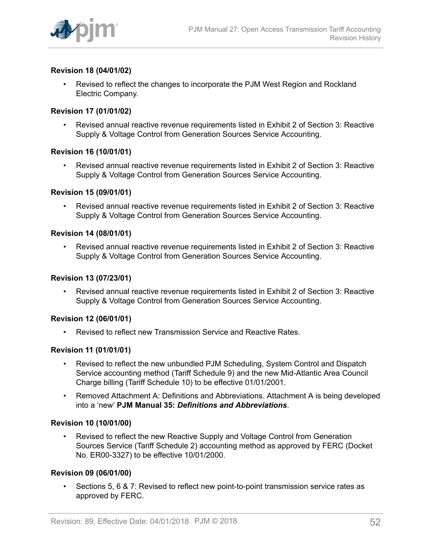

## **Revision 18 (04/01/02)**

• Revised to reflect the changes to incorporate the PJM West Region and Rockland Electric Company.

#### **Revision 17 (01/01/02)**

• Revised annual reactive revenue requirements listed in Exhibit 2 of Section 3: Reactive Supply & Voltage Control from Generation Sources Service Accounting.

#### **Revision 16 (10/01/01)**

• Revised annual reactive revenue requirements listed in Exhibit 2 of Section 3: Reactive Supply & Voltage Control from Generation Sources Service Accounting.

#### **Revision 15 (09/01/01)**

• Revised annual reactive revenue requirements listed in Exhibit 2 of Section 3: Reactive Supply & Voltage Control from Generation Sources Service Accounting.

## **Revision 14 (08/01/01)**

• Revised annual reactive revenue requirements listed in Exhibit 2 of Section 3: Reactive Supply & Voltage Control from Generation Sources Service Accounting.

#### **Revision 13 (07/23/01)**

• Revised annual reactive revenue requirements listed in Exhibit 2 of Section 3: Reactive Supply & Voltage Control from Generation Sources Service Accounting.

#### **Revision 12 (06/01/01)**

• Revised to reflect new Transmission Service and Reactive Rates.

#### **Revision 11 (01/01/01)**

- Revised to reflect the new unbundled PJM Scheduling, System Control and Dispatch Service accounting method (Tariff Schedule 9) and the new Mid-Atlantic Area Council Charge billing (Tariff Schedule 10) to be effective 01/01/2001.
- Removed Attachment A: Definitions and Abbreviations. Attachment A is being developed into a 'new' **PJM Manual 35:** *Definitions and Abbreviations*.

#### **Revision 10 (10/01/00)**

• Revised to reflect the new Reactive Supply and Voltage Control from Generation Sources Service (Tariff Schedule 2) accounting method as approved by FERC (Docket No. ER00-3327) to be effective 10/01/2000.

#### **Revision 09 (06/01/00)**

• Sections 5, 6 & 7: Revised to reflect new point-to-point transmission service rates as approved by FERC.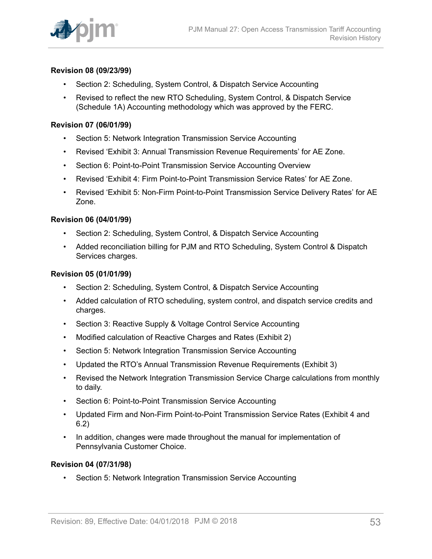

## **Revision 08 (09/23/99)**

- Section 2: Scheduling, System Control, & Dispatch Service Accounting
- Revised to reflect the new RTO Scheduling, System Control, & Dispatch Service (Schedule 1A) Accounting methodology which was approved by the FERC.

## **Revision 07 (06/01/99)**

- Section 5: Network Integration Transmission Service Accounting
- Revised 'Exhibit 3: Annual Transmission Revenue Requirements' for AE Zone.
- Section 6: Point-to-Point Transmission Service Accounting Overview
- Revised 'Exhibit 4: Firm Point-to-Point Transmission Service Rates' for AE Zone.
- Revised 'Exhibit 5: Non-Firm Point-to-Point Transmission Service Delivery Rates' for AE Zone.

### **Revision 06 (04/01/99)**

- Section 2: Scheduling, System Control, & Dispatch Service Accounting
- Added reconciliation billing for PJM and RTO Scheduling, System Control & Dispatch Services charges.

### **Revision 05 (01/01/99)**

- Section 2: Scheduling, System Control, & Dispatch Service Accounting
- Added calculation of RTO scheduling, system control, and dispatch service credits and charges.
- Section 3: Reactive Supply & Voltage Control Service Accounting
- Modified calculation of Reactive Charges and Rates (Exhibit 2)
- Section 5: Network Integration Transmission Service Accounting
- Updated the RTO's Annual Transmission Revenue Requirements (Exhibit 3)
- Revised the Network Integration Transmission Service Charge calculations from monthly to daily.
- Section 6: Point-to-Point Transmission Service Accounting
- Updated Firm and Non-Firm Point-to-Point Transmission Service Rates (Exhibit 4 and 6.2)
- In addition, changes were made throughout the manual for implementation of Pennsylvania Customer Choice.

#### **Revision 04 (07/31/98)**

• Section 5: Network Integration Transmission Service Accounting